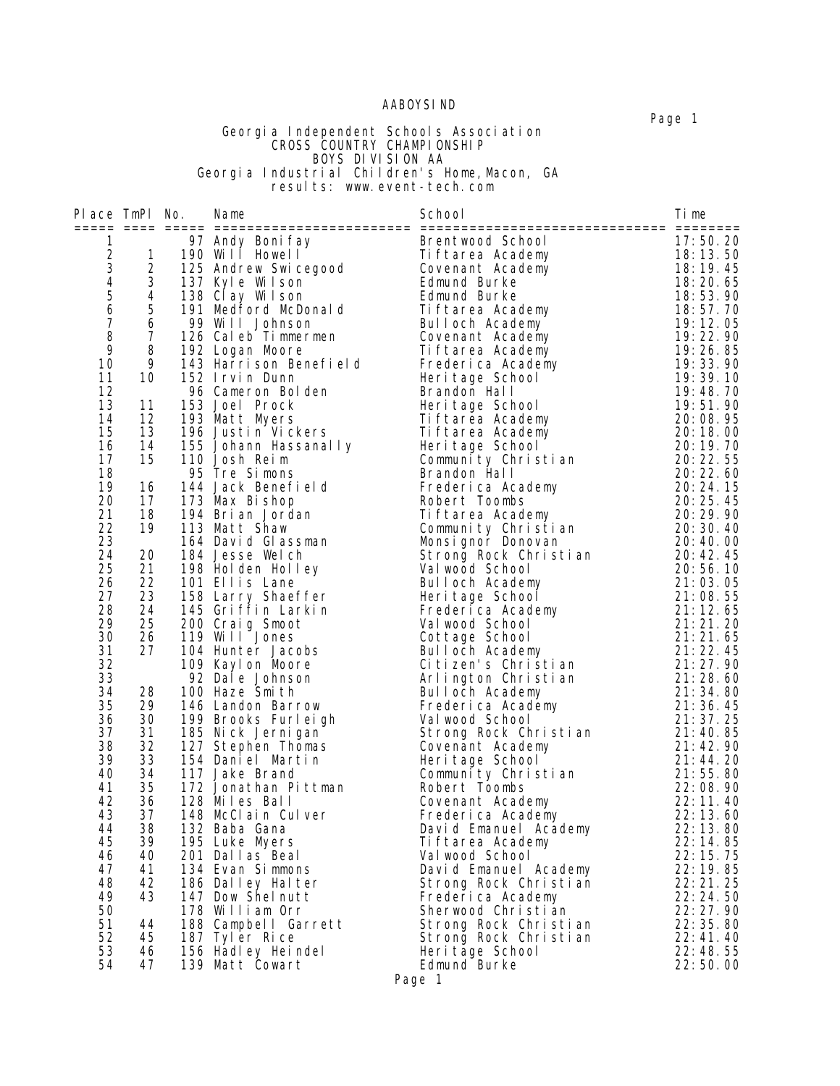### AABOYSIND

#### Georgia Independent Schools Association **CROSS COUNTRY CHAMPIONSHIP**  BOYS DIVISION AA Georgia Industrial Children's Home,Macon, GA **results:** www.event-tech.com

| Place TmPl No.                        |                     | Name                    | School                | Time       |
|---------------------------------------|---------------------|-------------------------|-----------------------|------------|
|                                       |                     |                         |                       |            |
| 1                                     |                     | 97 Andy Boni fay        | Brentwood School      | 17:50.20   |
| $\overline{c}$                        | $\mathbf{1}$        | 190 Will Howell         | Tiftarea Academy      | 18:13.50   |
| $\frac{3}{4}$                         | $\frac{2}{3}$       | 125 Andrew Swicegood    | Covenant Academy      | 18:19.45   |
|                                       |                     | 137 Kyle Wilson         | Edmund Burke          | 18:20.65   |
| $\begin{array}{c} 5 \\ 6 \end{array}$ | 4                   | 138 Clay Wilson         | Edmund Burke          | 18:53.90   |
|                                       | 5                   | 191 Medford McDonald    | Tiftarea Academy      | 18:57.70   |
| $\boldsymbol{7}$                      | $\ddot{\mathbf{6}}$ | 99 Will Johnson         | Bulloch Academy       | 19:12.05   |
| 8                                     | $\overline{7}$      | 126 Caleb Timmermen     | Covenant Academy      | 19:22.90   |
| 9                                     | 8                   | 192 Logan Moore         | Tiftarea Academy      | 19:26.85   |
| 10                                    | 9                   | 143 Harrison Benefield  | Frederica Academy     | 19:33.90   |
| 11                                    | 10                  | 152 Irvin Dunn          | Heri tage School      | 19:39.10   |
| 12                                    |                     | 96 Cameron Bolden       | Brandon Hall          | 19:48.70   |
| 13                                    | 11                  | 153 Joel Prock          | Heri tage School      | 19:51.90   |
| 14                                    | 12                  | 193 Matt Myers          | Ti ftarea Academy     | 20:08.95   |
| 15                                    | 13                  | 196 Justin Vickers      | Ti ftarea Academy     | 20:18.00   |
| 16                                    | 14                  | 155 Johann Hassanal I y | Heri tage School      | 20:19.70   |
| 17                                    | 15                  | 110 Josh Reim           | Community Christian   | 20: 22. 55 |
| 18                                    |                     | 95 Tre Simons           | Brandon Hall          | 20: 22. 60 |
| 19                                    | 16                  | 144 Jack Benefield      | Frederica Academy     | 20:24.15   |
| 20                                    | 17                  | 173 Max Bishop          | Robert Toombs         | 20: 25. 45 |
| 21                                    | 18                  | 194 Brian Jordan        | Tiftarea Academy      | 20:29.90   |
| 22                                    | 19                  | 113 Matt Shaw           | Community Christian   | 20:30.40   |
| 23                                    |                     | 164 David Glassman      | Monsignor Donovan     | 20:40.00   |
| 24                                    | 20                  | 184 Jesse Welch         | Strong Rock Christian | 20:42.45   |
| 25                                    | 21                  | 198 Holden Holley       | Val wood School       | 20:56.10   |
| 26                                    | 22                  | 101 Ellis Lane          | Bulloch Academy       | 21:03.05   |
| 27                                    | 23                  | 158 Larry Shaeffer      | Heritage School       | 21:08.55   |
| 28                                    | 24                  | 145 Griffin Larkin      | Frederica Academy     | 21:12.65   |
| 29                                    | 25                  | 200 Craig Smoot         | Val wood School       | 21:21.20   |
| 30                                    | 26                  | 119 Will Jones          | Cottage School        | 21:21.65   |
| 31                                    | 27                  | 104 Hunter Jacobs       | Bulloch Academy       | 21:22.45   |
| 32                                    |                     | 109 Kaylon Moore        | Citizen's Christian   | 21:27.90   |
| 33                                    |                     | 92 Dal e Johnson        | Arlington Christian   | 21:28.60   |
| 34                                    | 28                  | 100 Haze Smith          | Bulloch Academy       | 21:34.80   |
| 35                                    | 29                  | 146 Landon Barrow       | Frederica Academy     | 21:36.45   |
| 36                                    | 30                  | 199 Brooks Furleigh     | Val wood School       | 21:37.25   |
| 37                                    | 31                  | 185 Nick Jernigan       | Strong Rock Christian | 21:40.85   |
| 38                                    | 32                  | 127 Stephen Thomas      | Covenant Academy      | 21:42.90   |
| 39                                    | 33                  | 154 Daniel Martin       | Heri tage School      | 21:44.20   |
| 40                                    | 34                  | 117 Jake Brand          | Community Christian   | 21:55.80   |
| 41                                    | 35                  | 172 Jonathan Pittman    | Robert Toombs         | 22:08.90   |
| 42                                    | 36                  | 128 Miles Ball          | Covenant Academy      | 22:11.40   |
| 43                                    | 37                  | 148 McClain Culver      | Frederica Academy     | 22:13.60   |
| 44                                    | 38                  | 132 Baba Gana           | David Emanuel Academy | 22:13.80   |
| 45                                    | 39                  | 195 Luke Myers          | Tiftarea Academy      | 22:14.85   |
| 46                                    | 40                  | 201 Dallas Beal         | Val wood School       | 22:15.75   |
| 47                                    | 41                  | 134 Evan Simmons        | David Emanuel Academy | 22:19.85   |
| 48                                    | 42                  | 186 Dalley Halter       | Strong Rock Christian | 22:21.25   |
| 49                                    | 43                  | 147 Dow Shelnutt        | Frederica Academy     | 22:24.50   |
| 50                                    |                     | 178 William Orr         | Sherwood Christian    | 22:27.90   |
| 51                                    | 44                  | 188 Campbell Garrett    | Strong Rock Christian | 22:35.80   |
| 52                                    | 45                  | 187 Tyler Rice          | Strong Rock Christian | 22:41.40   |
| 53                                    | 46                  | 156 Hadley Heindel      | Heri tage School      | 22:48.55   |
| 54                                    | 47                  | 139 Matt Cowart         | Edmund Burke          | 22:50.00   |

Page 1

Page 1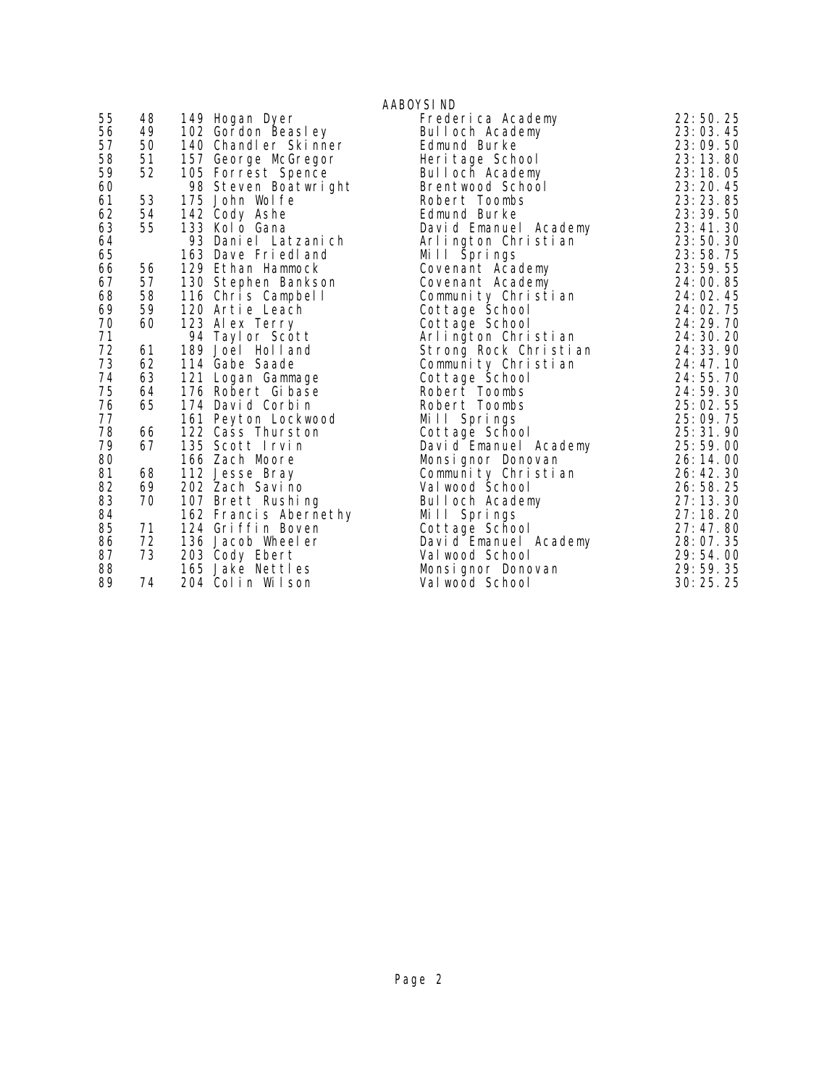|          |    |                                   | AABOYSI ND                             |                      |
|----------|----|-----------------------------------|----------------------------------------|----------------------|
| 55       | 48 | 149 Hogan Dyer                    | Frederica Academy                      | 22:50.25             |
| 56       | 49 | 102 Gordon Beasley                | Bulloch Academy                        | 23:03.45             |
| 57       | 50 | 140 Chandler Skinner              | Edmund Burke                           | 23:09.50             |
| 58       | 51 | 157 George McGregor               | Heri tage School                       | 23:13.80             |
| 59       | 52 | 105 Forrest Spence                | Bulloch Academy                        | 23:18.05             |
| 60       |    | 98 Steven Boatwright              | Brentwood School                       | 23: 20. 45           |
| 61       | 53 | 175 John Wolfe                    | Robert Toombs                          | 23: 23. 85           |
| 62       | 54 | 142 Cody Ashe                     | Edmund Burke                           | 23: 39. 50           |
| 63       | 55 | 133 Kolo Gana                     | David Emanuel Academy                  | 23:41.30             |
| 64       |    | 93 Daniel Latzanich               | Arlington Christian                    | 23:50.30             |
| 65       |    | 163 Dave Friedland                | Mill Springs                           | 23:58.75             |
| 66       | 56 | 129 Ethan Hammock                 | Covenant Academy                       | 23:59.55             |
| 67       | 57 | 130 Stephen Bankson               | Covenant Academy                       | 24:00.85             |
| 68       | 58 | 116 Chris Campbell                | Community Christian                    | 24:02.45             |
| 69       | 59 | 120 Artie Leach                   | Cottage School                         | 24:02.75             |
| 70       | 60 | 123 Alex Terry                    | Cottage School                         | 24:29.70             |
| 71       |    | 94 Tayl or Scott                  | Arlington Christian                    | 24: 30. 20           |
| 72       | 61 | 189 Joel Holland                  | Strong Rock Christian                  | 24: 33. 90           |
| 73       | 62 | 114 Gabe Saade                    | Community Christian                    | 24: 47. 10           |
| 74       | 63 | 121 Logan Gammage                 | Cottage School                         | 24:55.70             |
| 75       | 64 | 176 Robert Gibase                 | Robert Toombs                          | 24:59.30             |
| 76       | 65 | 174 David Corbin                  | Robert Toombs                          | 25:02.55             |
| 77       |    | 161 Peyton Lockwood               | Mill Springs                           | 25:09.75             |
| 78<br>79 | 66 | 122 Cass Thurston                 | Cottage School                         | 25:31.90             |
| 80       | 67 | 135 Scott Irvin                   | David Emanuel Academy                  | 25:59.00             |
| 81       | 68 | 166 Zach Moore                    | Monsignor Donovan                      | 26:14.00<br>26:42.30 |
| 82       | 69 | 112 Jesse Bray<br>202 Zach Savino | Community Christian<br>Val wood School | 26:58.25             |
| 83       | 70 | 107 Brett Rushing                 | Bulloch Academy                        | 27:13.30             |
| 84       |    | 162 Francis Abernethy             | Mill Springs                           | 27:18.20             |
| 85       | 71 | 124 Griffin Boven                 | Cottage School                         | 27:47.80             |
| 86       | 72 | 136 Jacob Wheeler                 | David Emanuel Academy                  | 28:07.35             |
| 87       | 73 | 203 Cody Ebert                    | Val wood School                        | 29:54.00             |
| 88       |    | 165 Jake Nettles                  | Monsi gnor Donovan                     | 29:59.35             |
| 89       | 74 | 204 Colin Wilson                  | Val wood School                        | 30:25.25             |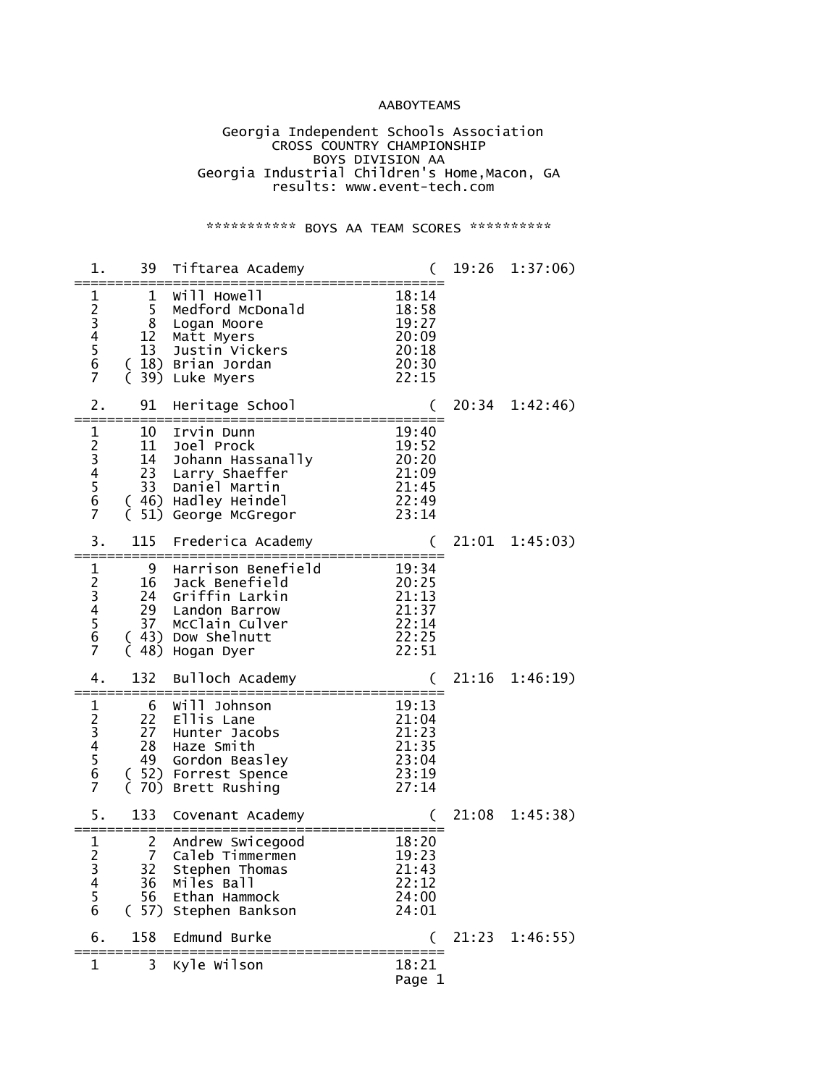### AABOYTEAMS

 Georgia Independent Schools Association **CROSS COUNTRY CHAMPIONSHIP**  BOYS DIVISION AA Georgia Industrial Children's Home,Macon, GA results: www.event-tech.com

\*\*\*\*\*\*\*\*\*\*\*\* BOYS AA TEAM SCORES \*\*\*\*\*\*\*\*\*\*\*

| 1.                                           | 39                                    | Tiftarea Academy                                                                                                                                          |                                                             | 19:26 | 1:37:06        |
|----------------------------------------------|---------------------------------------|-----------------------------------------------------------------------------------------------------------------------------------------------------------|-------------------------------------------------------------|-------|----------------|
| 1<br>23456<br>7                              | 1<br>5<br>8<br>12<br>13               | Will Howell<br>Medford McDonald<br>Logan Moore<br>Matt Myers<br>Justin Vickers<br>C 18) Brian Jordan<br>( 18) Brian Jordan ( 39) Luke Micro<br>Luke Myers | 18:14<br>18:58<br>19:27<br>20:09<br>20:18<br>20:30<br>22:15 |       |                |
| 2.<br>====                                   | 91                                    | Heritage School                                                                                                                                           |                                                             | 20:34 | 1:42:46)       |
| 1<br>2<br>3<br>4<br>5<br>6<br>$\overline{7}$ | 10<br>11<br>14<br>23<br>33<br>51)     | Irvin Dunn<br>Joel Prock<br>Johann Hassanally<br>Larry Shaeffer<br>Daniel Martin<br>(46) Hadley Heindel<br>George McGregor                                | 19:40<br>19:52<br>20:20<br>21:09<br>21:45<br>22:49<br>23:14 |       |                |
| 3.                                           | 115                                   | Frederica Academy                                                                                                                                         | €                                                           | 21:01 | 1:45:03)       |
| $\mathbf{1}$<br>23456<br>$\overline{7}$      | 9<br>16<br>24<br>29<br>37<br>(48)     | Harrison Benefield<br>Jack Benefield<br>Griffin Larkin<br>Landon Barrow<br>McClain Culver<br>(43) Dow Shelnutt<br>Hogan Dyer                              | 19:34<br>20:25<br>21:13<br>21:37<br>22:14<br>22:25<br>22:51 |       |                |
| 4.                                           | 132                                   | Bulloch Academy                                                                                                                                           |                                                             | 21:16 | 1:46:19        |
| $\mathbf 1$<br>23456<br>$\overline{7}$       | 6<br>22<br>27<br>28<br>49<br>$\left($ | Will Johnson<br>Ellis Lane<br>Hunter Jacobs<br>Haze Smith<br>Gordon Beasley<br>52) Forrest Spence<br>(70) Brett Rushing                                   | 19:13<br>21:04<br>21:23<br>21:35<br>23:04<br>23:19<br>27:14 |       |                |
| 5.                                           | 133                                   | Covenant Academy                                                                                                                                          |                                                             | 21:08 | 1:45:38        |
| $\frac{1}{2}$<br>3<br>4<br>5<br>6            | 2<br>7<br>32<br>36<br>56              | Andrew Swicegood<br>Caleb Timmermen<br>Stephen Thomas<br>Miles Ball<br>Ethan Hammock<br>(57) Stephen Bankson                                              | 18:20<br>19:23<br>21:43<br>22:12<br>24:00<br>24:01          |       |                |
| 6.                                           | 158                                   | Edmund Burke<br>======================                                                                                                                    |                                                             |       | 21:23 1:46:55) |
| 1                                            | 3                                     | Kyle Wilson                                                                                                                                               | 18:21<br>Page 1                                             |       |                |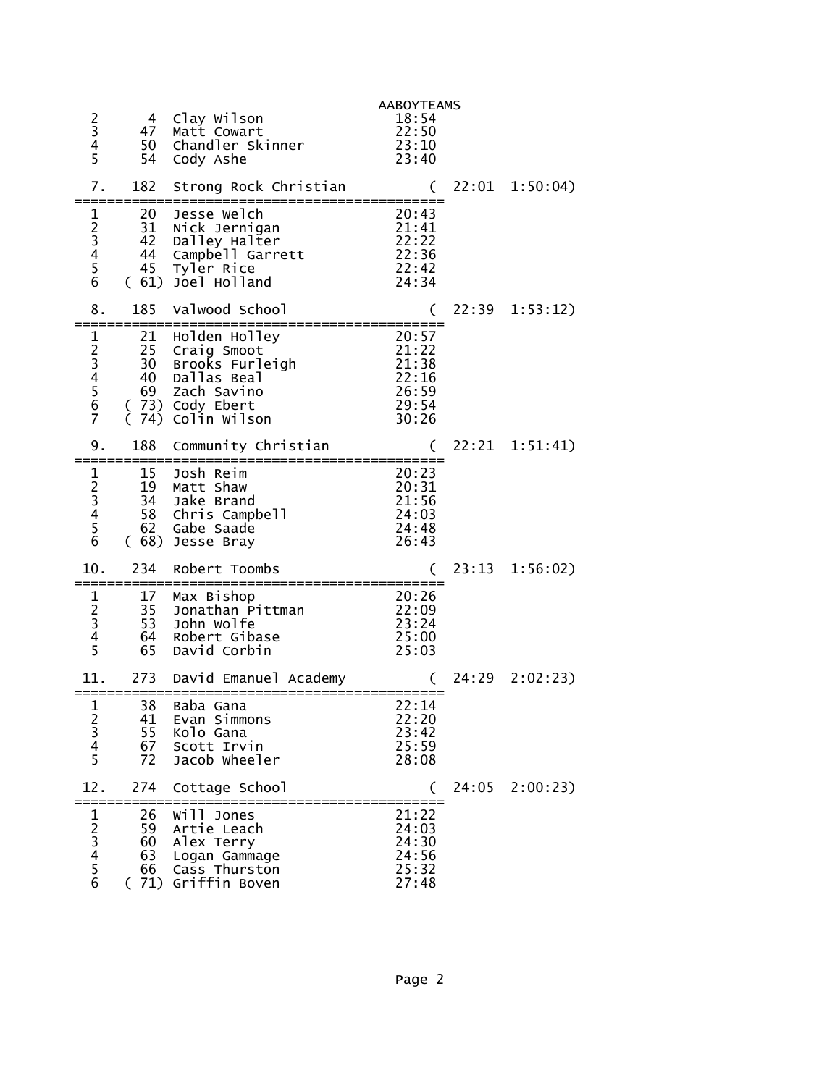| $\frac{2}{3}$<br>4<br>5                                          | 4<br>47<br>50<br>54        | Clay Wilson<br>Matt Cowart<br>Chandler Skinner<br>Cody Ashe                                                                       | <b>AABOYTEAMS</b><br>18:54<br>22:50<br>23:10<br>23:40       |       |                  |
|------------------------------------------------------------------|----------------------------|-----------------------------------------------------------------------------------------------------------------------------------|-------------------------------------------------------------|-------|------------------|
| 7.                                                               | 182                        | Strong Rock Christian                                                                                                             | (                                                           |       | $22:01$ 1:50:04) |
| 1<br>$\begin{array}{c} 2 \\ 3 \\ 4 \end{array}$<br>$\frac{5}{6}$ | 20<br>31<br>42<br>44<br>45 | Jesse Welch<br>Nick Jernigan<br>Dalley Halter<br>Campbell Garrett<br>Tyler Rice<br>(61) Joel Holland                              | 20:43<br>21:41<br>22:22<br>22:36<br>22:42<br>24:34          |       |                  |
| 8.                                                               | 185                        | Valwood School                                                                                                                    |                                                             | 22:39 | 1:53:12)         |
| 123456<br>$\overline{7}$                                         | 21                         | Holden Holley<br>25 Craig Smoot<br>30 Brooks Furleigh<br>40 Dallas Beal<br>69 Zach Savino<br>(73) Cody Ebert<br>(74) Colin Wilson | 20:57<br>21:22<br>21:38<br>22:16<br>26:59<br>29:54<br>30:26 |       |                  |
| 9.                                                               | 188                        | Community Christian                                                                                                               |                                                             |       | 22:21 1:51:41)   |
| $\mathbf 1$<br>2345<br>$\overline{6}$                            | 15<br>19<br>34             | Josh Reim<br>Matt Shaw<br>Jake Brand<br>58 Chris Campbell<br>62 Gabe Saade<br>(68) Jesse Bray                                     | 20:23<br>20:31<br>21:56<br>24:03<br>24:48<br>26:43          |       |                  |
| 10.                                                              | 234                        | Robert Toombs<br>:======================                                                                                          |                                                             |       | 23:13 1:56:02)   |
| 1<br>$2^{2}$<br>3<br>4<br>5                                      | 17<br>35<br>53<br>64<br>65 | Max Bishop<br>Jonathan Pittman<br>John Wolfe<br>Robert Gibase<br>David Corbin                                                     | 20:26<br>22:09<br>23:24<br>25:00<br>25:03                   |       |                  |
| 11.                                                              | 273                        | David Emanuel Academy                                                                                                             |                                                             | 24:29 | 2:02:23          |
| 1<br>2<br>3<br>4<br>5                                            | 38<br>41<br>55<br>67<br>72 | Baba Gana<br>Evan Simmons<br>Kolo Gana<br>Scott Irvin<br>Jacob Wheeler                                                            | 22:14<br>22:20<br>23:42<br>25:59<br>28:08                   |       |                  |
| 12.                                                              | 274                        | Cottage School                                                                                                                    | €                                                           | 24:05 | 2:00:23          |
| 1<br>23456                                                       | 26<br>59<br>60<br>63<br>66 | Will Jones<br>Artie Leach<br>Alex Terry<br>Logan Gammage<br>Cass Thurston<br>(71) Griffin Boven                                   | 21:22<br>24:03<br>24:30<br>24:56<br>25:32<br>27:48          |       |                  |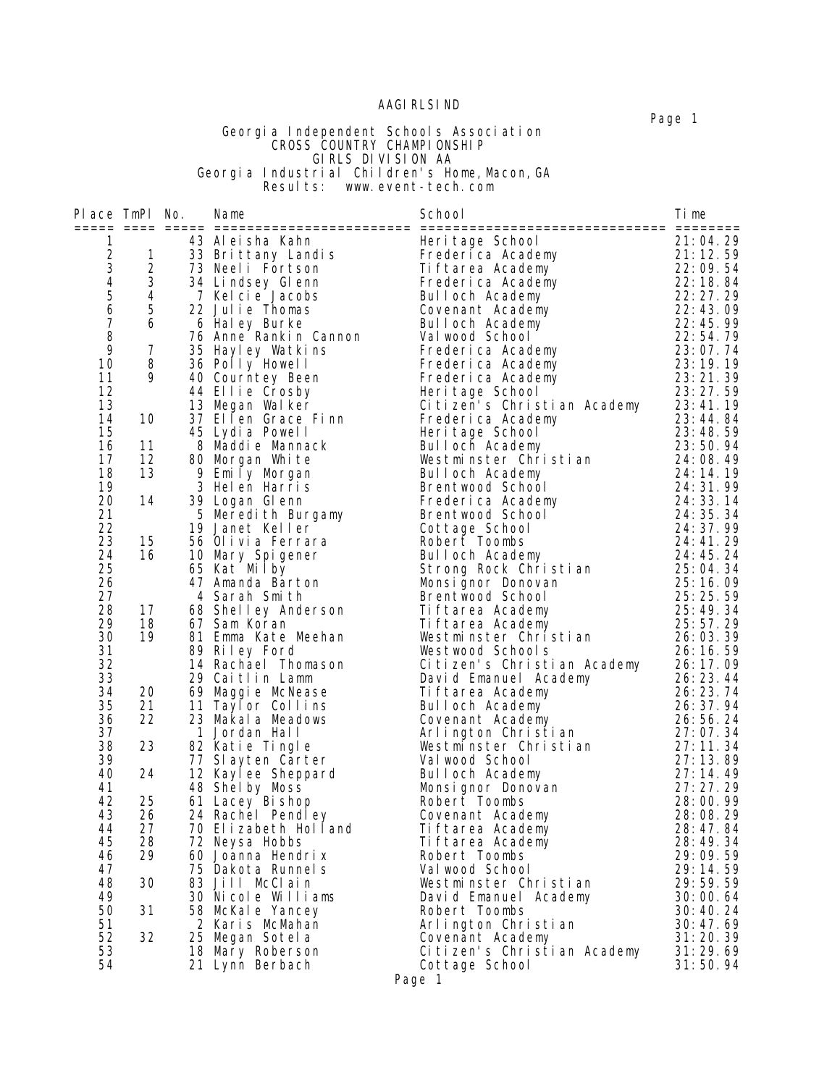#### AAGIRLSIND

 Page 1 Georgia Independent Schools Association **CROSS COUNTRY CHAMPIONSHIP**  GIRLS DIVISION AA Georgia Industrial Children's Home,Macon,GA **Example 2 Results:** www.event-tech.com

Place TmPl No. Name School Time ===== ==== ===== ======================== ============================== ======== 1 43 Aleisha Kahn Heritage School 21:04.29 2 1 33 Brittany Landis Frederica Academy 21:12.59 3 2 73 Neeli Fortson Tiftarea Academy 22:09.54 4 3 34 Lindsey Glenn Frederica Academy 22:18.84 5 4 7 Kelcie Jacobs Bulloch Academy 22:27.29 6 5 22 Julie Thomas Covenant Academy 22:43.09 7 6 6 Haley Burke Bulloch Academy 22:45.99 8 76 Anne Rankin Cannon Valwood School 22:54.79 9 7 35 Hayley Watkins Frederica Academy 23:07.74 10 8 36 Polly Howell Frederica Academy 23:19.19 11 9 40 Courntey Been Frederica Academy 23:21.39 12 44 Ellie Crosby Heritage School 23:27.59 13 13 Megan Walker Citizen's Christian Academy 23:41.19 14 10 37 Ellen Grace Finn Frederica Academy 23:44.84 15 45 Lydia Powell Heritage School 23:48.59 16 11 8 Maddie Mannack Bulloch Academy 23:50.94 17 12 80 Morgan White Westminster Christian 24:08.49 18 13 9 Emily Morgan Bulloch Academy 24:14.19 19 3 Helen Harris Brentwood School 24:31.99 20 14 39 Logan Glenn Frederica Academy 24:33.14 21 5 Meredith Burgamy Brentwood School 24:35.34 22 19 Janet Keller Cottage School 24:37.99 23 15 56 Olivia Ferrara Robert Toombs 24:41.29 24 16 10 Mary Spigener Bulloch Academy 24:45.24 25 65 Kat Milby Strong Rock Christian 25:04.34 26 47 Amanda Barton Monsignor Donovan 25:16.09 27 4 Sarah Smith Brentwood School 25:25.59 28 17 68 Shelley Anderson Tiftarea Academy 25:49.34 29 18 67 Sam Koran Tiftarea Academy 25:57.29 30 19 81 Emma Kate Meehan Westminster Christian 26:03.39 31 89 Riley Ford Westwood Schools 26:16.59 32 14 Rachael Thomason Citizen's Christian Academy 26:17.09 33 29 Caitlin Lamm David Emanuel Academy 26:23.44 34 20 69 Maggie McNease Tiftarea Academy 26:23.74 35 21 11 Taylor Collins Bulloch Academy 26:37.94 36 22 23 Makala Meadows Covenant Academy 26:56.24 37 1 Jordan Hall Arlington Christian 27:07.34 38 23 82 Katie Tingle Westminster Christian 27:11.34 39 77 Slayten Carter Valwood School 27:13.89 40 24 12 Kaylee Sheppard Bulloch Academy 27:14.49 41 48 Shelby Moss Monsignor Donovan 27:27.29 42 25 61 Lacey Bishop Robert Toombs 28:00.99 43 26 24 Rachel Pendley Covenant Academy 28:08.29 44 27 70 Elizabeth Holland Tiftarea Academy 28:47.84 45 28 72 Neysa Hobbs Tiftarea Academy 28:49.34 46 29 60 Joanna Hendrix Robert Toombs 29:09.59

 47 75 Dakota Runnels Valwood School 29:14.59 48 30 83 Jill McClain Westminster Christian 29:59.59 49 30 Nicole Williams David Emanuel Academy 30:00.64 50 31 58 McKale Yancey Robert Toombs 30:40.24 51 2 Karis McMahan Arlington Christian 30:47.69 52 32 25 Megan Sotela Covenant Academy 31:20.39 53 18 Mary Roberson Citizen's Christian Academy 31:29.69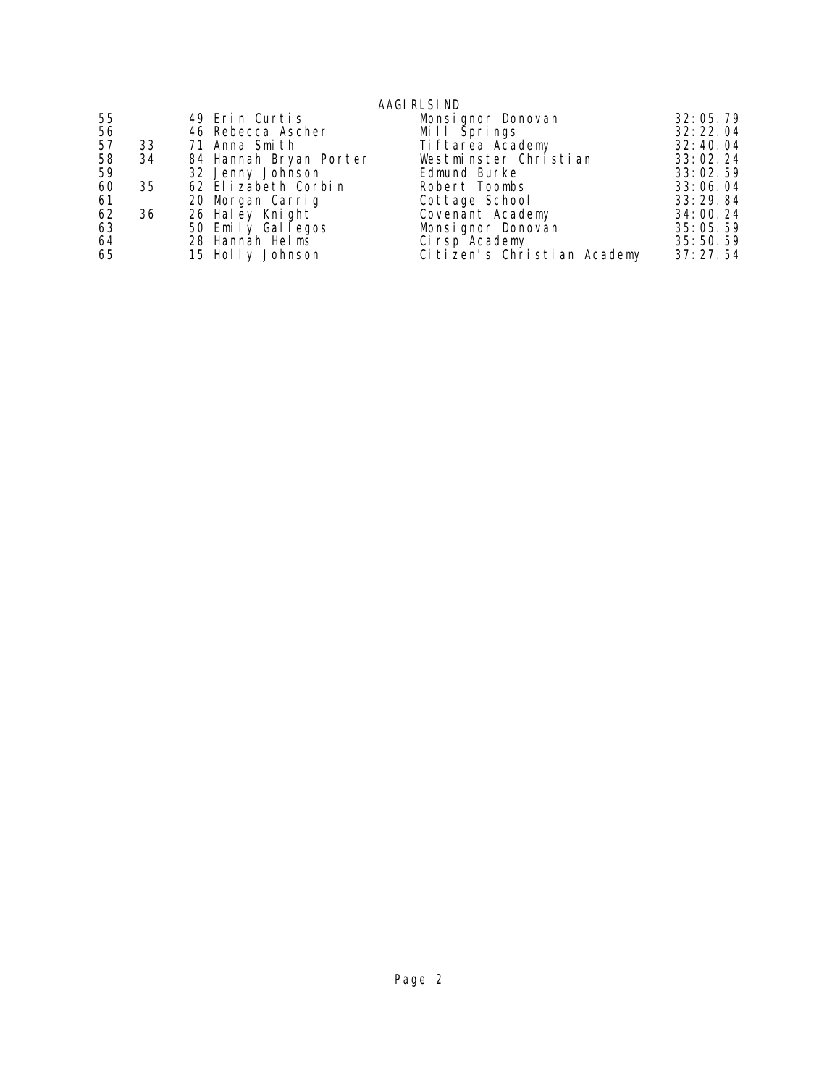### AAGIRLSIND

| 55 |     | 49 Erin Curtis         | Monsignor Donovan           | 32:05.79   |
|----|-----|------------------------|-----------------------------|------------|
| 56 |     | 46 Rebecca Ascher      | Mill Šprings                | 32: 22. 04 |
| 57 | 33  | 71 Anna Smith          | Ti ftarea Academy           | 32:40.04   |
| 58 | 34  | 84 Hannah Bryan Porter | Westminster Christian       | 33:02.24   |
| 59 |     | 32 Jenny Johnson       | Edmund Burke                | 33:02.59   |
| 60 | 35  | 62 Elizabeth Corbin    | Robert Toombs               | 33:06.04   |
| 61 |     | 20 Morgan Carrig       | Cottage School              | 33:29.84   |
| 62 | -36 | 26 Haley Knight        | Covenant Academy            | 34:00.24   |
| 63 |     | 50 Emily Gallegos      | Monsignor Donovan           | 35:05.59   |
| 64 |     | 28 Hannah Helms        | Ci rsp Academy              | 35:50.59   |
| 65 |     | 15 Holly Johnson       | Citizen's Christian Academy | 37:27.54   |
|    |     |                        |                             |            |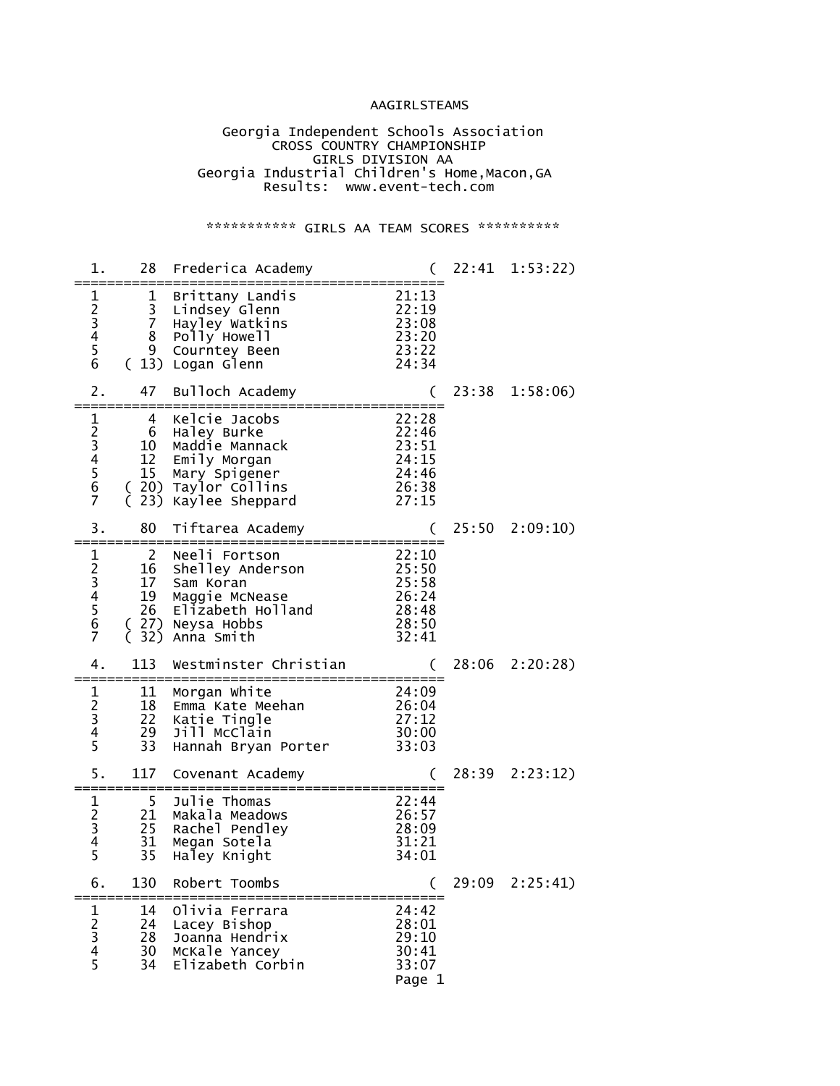### AAGIRLSTEAMS

#### Georgia Independent Schools Association **CROSS COUNTRY CHAMPIONSHIP**  GIRLS DIVISION AA Georgia Industrial Children's Home,Macon,GA Results: www.event-tech.com

### \*\*\*\*\*\*\*\*\*\*\*\* GIRLS AA TEAM SCORES \*\*\*\*\*\*\*\*\*\*\*

| 1.                                                                                       | 28<br>========                                 | Frederica Academy                                                                                                         |                                                                          |       | 22:41 1:53:22) |
|------------------------------------------------------------------------------------------|------------------------------------------------|---------------------------------------------------------------------------------------------------------------------------|--------------------------------------------------------------------------|-------|----------------|
| 1<br>$2^{3}$<br>$4^{5}$<br>$\overline{6}$                                                | 1<br>3<br>7<br>8<br>9<br>(13)                  | Brittany Landis<br>Lindsey Glenn<br>Hayley Watkins<br>Polly Howell<br>Courntey Been<br>Logan Glenn                        | 21:13<br>22:19<br>23:08<br>23:20<br>23:22<br>24:34                       |       |                |
| 2.                                                                                       | 47                                             | Bulloch Academy                                                                                                           |                                                                          | 23:38 | 1:58:06        |
| 1<br>23456<br>$\overline{7}$                                                             | 4<br>6<br>10<br>12<br>15 <sub>1</sub><br>23)   | Kelcie Jacobs<br>Haley Burke<br>Maddie Mannack<br>Emily Morgan<br>Mary Spigener<br>(20) Taylor Collins<br>Kaylee Sheppard | 22:28<br>22:46<br>23:51<br>24:15<br>24:46<br>26:38<br>27:15              |       |                |
| 3.                                                                                       | 80                                             | Tiftarea Academy                                                                                                          |                                                                          |       | 25:50 2:09:10) |
| 1<br>$\begin{array}{c} 2 \\ 3 \\ 4 \end{array}$<br>$\overline{5}$<br>$\overline{6}$<br>7 | $\overline{c}$<br>16<br>17<br>19<br>26<br>(32) | Neeli Fortson<br>Shelley Anderson<br>Sam Koran<br>Maggie McNease<br>Elizabeth Holland<br>(27) Neysa Hobbs<br>Anna Smith   | 22:10<br>$2\overline{5}:50$<br>25:58<br>26:24<br>28:48<br>28:50<br>32:41 |       |                |
| 4.                                                                                       | 113                                            | Westminster Christian                                                                                                     |                                                                          | 28:06 | 2:20:28        |
| 1<br>$\begin{array}{c} 2 \\ 3 \\ 4 \end{array}$<br>5                                     | 11<br>18<br>22<br>29<br>33                     | Morgan White<br>Emma Kate Meehan<br>Katie Tingle<br>Jill McClain<br>Hannah Bryan Porter                                   | 24:09<br>26:04<br>27:12<br>30:00<br>33:03                                |       |                |
| 5.                                                                                       | 117                                            | Covenant Academy                                                                                                          |                                                                          |       | 28:39 2:23:12) |
| 1<br>$\begin{array}{c} 2 \\ 3 \\ 4 \end{array}$<br>5                                     | 5<br>21<br>25<br>31<br>35                      | Julie Thomas<br>Makala Meadows<br>Rachel Pendley<br>Megan Sotela<br>Haley Knight                                          | 22:44<br>26:57<br>28:09<br>31:21<br>34:01                                |       |                |
| 6.                                                                                       | 130                                            | Robert Toombs                                                                                                             |                                                                          | 29:09 | 2:25:41)       |
| 1<br>$23$<br>45                                                                          | 14<br>24<br>28<br>30<br>34                     | Olivia Ferrara<br>Lacey Bishop<br>Joanna Hendrix<br>McKale Yancey<br>Elizabeth Corbin                                     | 24:42<br>28:01<br>29:10<br>30:41<br>33:07<br>Page 1                      |       |                |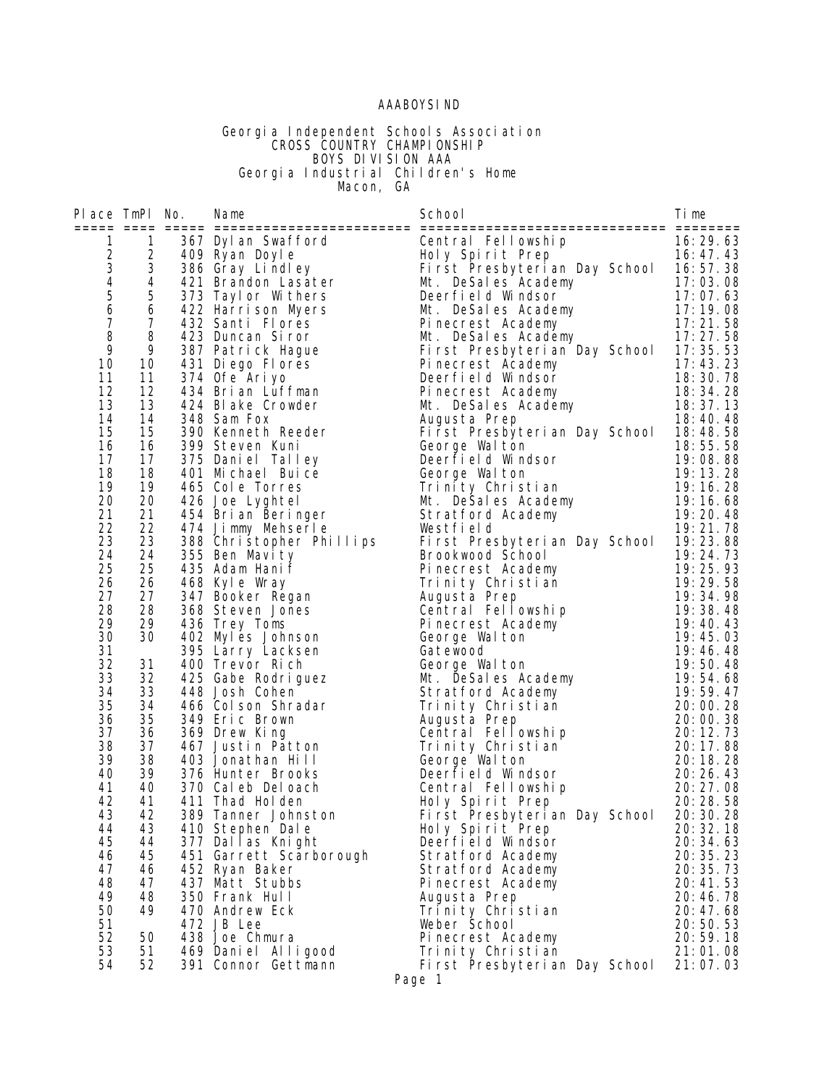### AAABOYSIND

#### Georgia Independent Schools Association **CROSS COUNTRY CHAMPIONSHIP**  BOYS DIVISION AAA Georgia Industrial Children's Home **Macon, GA**

| Place TmPl No. |                | Name                                                                                                                                                                                                                               | School                                                                                                                                                                                                                                                                              | li me                                 |
|----------------|----------------|------------------------------------------------------------------------------------------------------------------------------------------------------------------------------------------------------------------------------------|-------------------------------------------------------------------------------------------------------------------------------------------------------------------------------------------------------------------------------------------------------------------------------------|---------------------------------------|
| $\mathbf{1}$   | $\mathbf{1}$   | and the test of the same of the same of the same of the same of the same of the same of the same of the same o<br>109 Ryan Doyle (109 Ryan Doyle (109 Rings and First Presbyterial)<br>121 Resales, Academy Manus Mutrices (109 Re | Central Fellowship                                                                                                                                                                                                                                                                  |                                       |
|                | $\overline{2}$ |                                                                                                                                                                                                                                    |                                                                                                                                                                                                                                                                                     | $16: 29.63$<br>$16: 47.43$<br>$17.43$ |
|                | 3              |                                                                                                                                                                                                                                    |                                                                                                                                                                                                                                                                                     |                                       |
| 23456          | 4              |                                                                                                                                                                                                                                    |                                                                                                                                                                                                                                                                                     |                                       |
|                | $\sqrt{5}$     | 373 Tayl or Withers                                                                                                                                                                                                                |                                                                                                                                                                                                                                                                                     |                                       |
|                | 6              | 422 Harrison Myers                                                                                                                                                                                                                 |                                                                                                                                                                                                                                                                                     |                                       |
| $\overline{7}$ | $\overline{7}$ | 432 Santi Flores                                                                                                                                                                                                                   |                                                                                                                                                                                                                                                                                     |                                       |
| 8              | 8              | 423 Duncan Siror                                                                                                                                                                                                                   |                                                                                                                                                                                                                                                                                     |                                       |
| 9              | 9              | 387 Patrick Hague<br>431 Diego Flores<br>374 Ofe Arivo                                                                                                                                                                             | Holy Spirit Prep 16: 47. 43<br>First Presbyterian Day School 16: 57. 38<br>Mt. DeSales Academy 17: 03. 08<br>Deerfield Windsor 17: 07. 63<br>Mt. DeSales Academy 17: 19. 08<br>Pinecrest Academy 17: 21. 58<br>Mt. DeSales Academy 17: 27.                                          |                                       |
| 10             | 10             |                                                                                                                                                                                                                                    |                                                                                                                                                                                                                                                                                     |                                       |
| 11<br>12       | 11<br>12       | 374 Ofe Ariyo<br>434 Brian Luffman                                                                                                                                                                                                 |                                                                                                                                                                                                                                                                                     |                                       |
| 13             | 13             | 424 Blake Crowder                                                                                                                                                                                                                  |                                                                                                                                                                                                                                                                                     |                                       |
| 14             | 14             | 348 Sam Fox                                                                                                                                                                                                                        | Augusta Prep                                                                                                                                                                                                                                                                        | 18:40.48                              |
| 15             | 15             | 390 Kenneth Reeder                                                                                                                                                                                                                 | First Presbyterian Day School                                                                                                                                                                                                                                                       | 18:48.58                              |
| 16             | 16             | 399 Steven Kuni                                                                                                                                                                                                                    | George Walton                                                                                                                                                                                                                                                                       | 18:55.58                              |
| 17             | 17             | 375 Daniel Talley                                                                                                                                                                                                                  | Deerfield Windsor                                                                                                                                                                                                                                                                   | 19:08.88                              |
| 18             | 18             | 401 Michael Buice                                                                                                                                                                                                                  |                                                                                                                                                                                                                                                                                     |                                       |
| 19             | 19             | 465 Cole Torres                                                                                                                                                                                                                    |                                                                                                                                                                                                                                                                                     |                                       |
| 20             | 20             | 426 Joe Lyghtel                                                                                                                                                                                                                    |                                                                                                                                                                                                                                                                                     |                                       |
| 21<br>22       | 21<br>22       | 454 Brian Beringer                                                                                                                                                                                                                 |                                                                                                                                                                                                                                                                                     |                                       |
| 23             | 23             | 474 Jimmy Mehserle<br>388 Christopher Phillips                                                                                                                                                                                     | 19:08.88<br>Trinity Christian<br>Mt. DeSales Academy<br>Mt. DeSales Academy<br>Stratford Academy<br>The Stratford Academy<br>The Stratford Academy<br>The Stratford Academy<br>The Stratford Academy<br>The Stratford Academy<br>The Stratford Aca<br>First Presbyterian Day School | 19:23.88                              |
| 24             | 24             | 355 Ben Mavity                                                                                                                                                                                                                     | Brookwood School                                                                                                                                                                                                                                                                    | 19:24.73                              |
| 25             | 25             | 435 Adam Hanif                                                                                                                                                                                                                     | Pinecrest Academy                                                                                                                                                                                                                                                                   | 19:25.93                              |
| 26             | 26             | 468 Kyle Wray                                                                                                                                                                                                                      | Trinity Christian                                                                                                                                                                                                                                                                   | 19:29.58                              |
| 27             | 27             | 347 Booker Regan                                                                                                                                                                                                                   | Augusta Prep<br>Central Fellowship<br>Pinecrest Academy                                                                                                                                                                                                                             | 19:34.98                              |
| 28             | 28             | 368 Steven Jones                                                                                                                                                                                                                   |                                                                                                                                                                                                                                                                                     | 19:38.48                              |
| 29             | 29             | 436 Trey Toms                                                                                                                                                                                                                      |                                                                                                                                                                                                                                                                                     | 19:40.43                              |
| 30             | 30             | 402 Myles Johnson                                                                                                                                                                                                                  |                                                                                                                                                                                                                                                                                     | 19:45.03                              |
| 31<br>32       | 31             | 395 Larry Lacksen<br>400 Trevor Rich                                                                                                                                                                                               | Gatewood                                                                                                                                                                                                                                                                            | 19:46.48<br>19:50.48                  |
| 33             | 32             | 425 Gabe Rodriguez                                                                                                                                                                                                                 | George Walton<br>Mt. DeSales Academy                                                                                                                                                                                                                                                | 19:54.68                              |
| 34             | 33             | 448 Josh Cohen                                                                                                                                                                                                                     | Stratford Academy                                                                                                                                                                                                                                                                   | 19:59.47                              |
| 35             | 34             | 466 Colson Shradar                                                                                                                                                                                                                 | Trinity Christian                                                                                                                                                                                                                                                                   | 20:00.28                              |
| 36             | 35             | 349 Eric Brown                                                                                                                                                                                                                     | Augusta Prep                                                                                                                                                                                                                                                                        | 20:00.38                              |
| 37             | 36             | 369 Drew King                                                                                                                                                                                                                      | Central Fellowship                                                                                                                                                                                                                                                                  | 20: 12. 73                            |
| 38             | 37             | 467 Justin Patton                                                                                                                                                                                                                  | Trinity Christian                                                                                                                                                                                                                                                                   | 20:17.88                              |
| 39             | 38             | 403 Jonathan Hill                                                                                                                                                                                                                  | George Walton                                                                                                                                                                                                                                                                       | 20:18.28                              |
| 40             | 39<br>40       | 376 Hunter Brooks                                                                                                                                                                                                                  | Deerfield Windsor                                                                                                                                                                                                                                                                   | 20: 26. 43                            |
| 41<br>42       | 41             | 370 Cal eb Del oach<br>411 Thad Holden                                                                                                                                                                                             | Central Fellowship<br>Holy Spirit Prep                                                                                                                                                                                                                                              | $20:27.08$<br>$20:28.58$<br>20:28.58  |
| 43             | 42             | 389 Tanner Johnston                                                                                                                                                                                                                | First Presbyterian Day School                                                                                                                                                                                                                                                       | 20: 30. 28                            |
| 44             | 43             | 410 Stephen Dale                                                                                                                                                                                                                   | Holy Spirit Prep                                                                                                                                                                                                                                                                    | 20:32.18                              |
| 45             | 44             | 377 Dallas Knight                                                                                                                                                                                                                  | Deerfield Windsor                                                                                                                                                                                                                                                                   | 20: 34. 63                            |
| 46             | 45             | 451 Garrett Scarborough                                                                                                                                                                                                            | Stratford Academy                                                                                                                                                                                                                                                                   | 20:35.23                              |
| 47             | 46             | 452 Ryan Baker                                                                                                                                                                                                                     | Stratford Academy                                                                                                                                                                                                                                                                   | 20: 35. 73                            |
| 48             | 47             | 437 Matt Stubbs                                                                                                                                                                                                                    | Pinecrest Academy                                                                                                                                                                                                                                                                   | 20:41.53                              |
| 49             | 48             | 350 Frank Hull                                                                                                                                                                                                                     | Augusta Prep                                                                                                                                                                                                                                                                        | 20:46.78                              |
| 50             | 49             | 470 Andrew Eck                                                                                                                                                                                                                     | Trinity Christian                                                                                                                                                                                                                                                                   | 20:47.68                              |
| 51<br>52       | 50             | 472 JB Lee<br>438 Joe Chmura                                                                                                                                                                                                       | Weber School<br>Pinecrest Academy                                                                                                                                                                                                                                                   | 20:50.53<br>20:59.18                  |
| 53             | 51             | 469 Daniel Alligood                                                                                                                                                                                                                | Trinity Christian                                                                                                                                                                                                                                                                   | 21:01.08                              |
| 54             | 52             | 391 Connor Gettmann                                                                                                                                                                                                                | First Presbyterian Day School                                                                                                                                                                                                                                                       | 21:07.03                              |
|                |                |                                                                                                                                                                                                                                    | $D_{QQ}$ 1                                                                                                                                                                                                                                                                          |                                       |

Page 1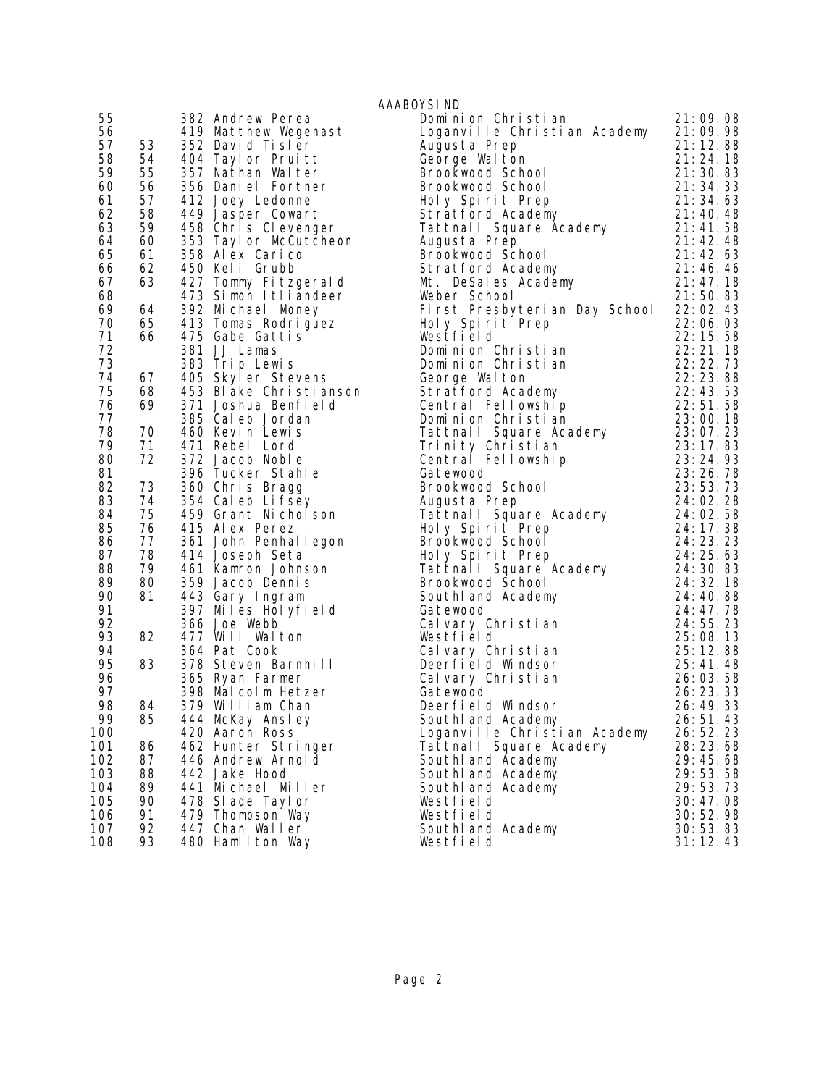|     |    |                                                         | AAABOYSI ND                                                                                                                                                                                                                                              |            |
|-----|----|---------------------------------------------------------|----------------------------------------------------------------------------------------------------------------------------------------------------------------------------------------------------------------------------------------------------------|------------|
| 55  |    | 382 Andrew Perea                                        | Dominion Christian                                                                                                                                                                                                                                       | 21:09.08   |
| 56  |    | 419 Matthew Wegenast                                    | Loganville Christian Academy 21:09.98                                                                                                                                                                                                                    |            |
| 57  | 53 | 352 David Tisler                                        | Augusta Prep                                                                                                                                                                                                                                             | 21:12.88   |
| 58  | 54 |                                                         |                                                                                                                                                                                                                                                          |            |
| 59  | 55 | 404 Taylor Pruitt<br>357 Nathan Walter                  | Augusta Prep<br>George Walton 21:24.18<br>Brookwood School 21:24.18<br>Brookwood School 21:30.83<br>Brookwood School 21:34.33<br>Holy Spirit Prep 21:34.33<br>Stratford Academy 21:40.48<br>Tattnall Square Academy 21:41.58<br>Augusta Prep 2           |            |
| 60  | 56 | 356 Daniel Fortner                                      |                                                                                                                                                                                                                                                          |            |
| 61  | 57 | 412 Joey Ledonne                                        |                                                                                                                                                                                                                                                          |            |
| 62  | 58 | 449 Jasper Cowart                                       |                                                                                                                                                                                                                                                          |            |
| 63  | 59 | 458 Chris Clevenger                                     |                                                                                                                                                                                                                                                          |            |
| 64  | 60 | 353 Taylor McCutcheon                                   |                                                                                                                                                                                                                                                          |            |
| 65  | 61 | 358 Al ex Cari co                                       |                                                                                                                                                                                                                                                          |            |
| 66  | 62 | 450 Keli Grubb                                          |                                                                                                                                                                                                                                                          |            |
| 67  | 63 | 427 Tommy Fitzgerald                                    |                                                                                                                                                                                                                                                          |            |
| 68  |    | 473 Simon Itliandeer                                    | Weber School                                                                                                                                                                                                                                             | 21:50.83   |
| 69  | 64 | 392 Michael Money                                       | First Presbyterian Day School 22:02.43                                                                                                                                                                                                                   |            |
| 70  | 65 | 332 milionais<br>413 Tomas Rodriguez<br>475 Gabe Gattis | Holy Spirit Prep                                                                                                                                                                                                                                         | 22:06.03   |
| 71  | 66 |                                                         |                                                                                                                                                                                                                                                          |            |
| 72  |    | 381 JJ Lamas                                            |                                                                                                                                                                                                                                                          |            |
| 73  |    | 383 Trip Lewis                                          |                                                                                                                                                                                                                                                          |            |
| 74  | 67 | 405 Skyler Stevens                                      |                                                                                                                                                                                                                                                          |            |
| 75  | 68 | 453 Blake Christianson                                  |                                                                                                                                                                                                                                                          |            |
| 76  | 69 | 371 Joshua Benfi el d                                   | Westfield<br>Dominion Christian<br>Dominion Christian<br>Correct Markov 22:22.73<br>George Walton<br>Stratford Academy<br>22:23.88<br>Stratford Academy<br>22:43.53<br>Central Fellowship<br>22:51.58<br>Pominion Christian<br>23:00.18<br>23:00.18      |            |
| 77  |    | 385 Cal eb Jordan                                       |                                                                                                                                                                                                                                                          |            |
| 78  | 70 | 460 Kevin Lewis                                         |                                                                                                                                                                                                                                                          |            |
| 79  | 71 | 471 Rebel Lord                                          | Dominium Sirium - Strand<br>Tattnall Square Academy 23:07.23<br>Trinity Christian 23:17.83                                                                                                                                                               |            |
| 80  | 72 | 372 Jacob Noble                                         | Central Fellowship                                                                                                                                                                                                                                       |            |
| 81  |    | 396 Tucker Stahle                                       | Gatewood                                                                                                                                                                                                                                                 |            |
| 82  | 73 | 360 Chris Bragg                                         | $\begin{array}{r} 23:17.83 \\ p \\ 23:24.93 \\ 23:53.73 \\ 24:02.28 \end{array}$<br>Brookwood School                                                                                                                                                     |            |
| 83  | 74 | 354 Caleb Lifsey                                        | Augusta Prep                                                                                                                                                                                                                                             | 24:02.28   |
| 84  | 75 | 459 Grant Nicholson                                     |                                                                                                                                                                                                                                                          |            |
| 85  | 76 | 415 Alex Perez                                          |                                                                                                                                                                                                                                                          |            |
| 86  | 77 | 361 John Penhallegon                                    | Augusta Fiep<br>Tattnall Square Academy<br>Holy Spirit Prep<br>Brookwood School<br>24: 02.58<br>Brookwood School<br>24: 23.23<br>Holy Spirit Prep<br>24: 23.23<br>Tattnall Square Academy<br>24: 25.63<br>Tattnall Square Academy<br>24: 30.83<br>Brookw |            |
| 87  | 78 | 414 Joseph Seta                                         |                                                                                                                                                                                                                                                          |            |
| 88  | 79 | 461 Kamron Johnson                                      |                                                                                                                                                                                                                                                          |            |
| 89  | 80 | 359 Jacob Dennis                                        |                                                                                                                                                                                                                                                          |            |
| 90  | 81 | 443 Gary Ingram                                         | Brookwood Scnool<br>Southland Academy                                                                                                                                                                                                                    | 24:40.88   |
| 91  |    | 397 Miles Holyfield                                     | Gatewood                                                                                                                                                                                                                                                 | 24: 47. 78 |
| 92  |    | 366 Joe Webb                                            | Calvary Christian                                                                                                                                                                                                                                        | 24: 55. 23 |
| 93  | 82 | 477 Will Walton                                         | Westfield                                                                                                                                                                                                                                                | 25:08.13   |
| 94  |    | 364 Pat Cook                                            | Cal vary Christian                                                                                                                                                                                                                                       | 25: 12. 88 |
| 95  | 83 | 378 Steven Barnhill                                     | Deerfield Windsor                                                                                                                                                                                                                                        | 25:41.48   |
| 96  |    | 365 Ryan Farmer                                         | Calvary Christian                                                                                                                                                                                                                                        | 26:03.58   |
| 97  |    | 398 Malcolm Hetzer                                      | Gatewood                                                                                                                                                                                                                                                 | 26: 23. 33 |
| 98  | 84 | 379 William Chan                                        | Deerfield Windsor                                                                                                                                                                                                                                        | 26:49.33   |
| 99  | 85 | 444 McKay Ansley                                        | Southl and Academy                                                                                                                                                                                                                                       | 26:51.43   |
| 100 |    | 420 Aaron Ross                                          | Loganville Christian Academy                                                                                                                                                                                                                             | 26:52.23   |
| 101 | 86 | 462 Hunter Stringer                                     | Tattnall Square Academy                                                                                                                                                                                                                                  | 28:23.68   |
| 102 | 87 | 446 Andrew Arnold                                       | South and Academy                                                                                                                                                                                                                                        | 29:45.68   |
| 103 | 88 | 442 Jake Hood                                           | South and Academy                                                                                                                                                                                                                                        | 29:53.58   |
| 104 | 89 | 441 Michael Miller                                      | South and Academy                                                                                                                                                                                                                                        | 29:53.73   |
| 105 | 90 | 478 SI ade Tayl or                                      | Westfield                                                                                                                                                                                                                                                | 30:47.08   |
| 106 | 91 | 479 Thompson Way                                        | Westfield                                                                                                                                                                                                                                                | 30:52.98   |
| 107 | 92 | 447 Chan Waller                                         | South and Academy                                                                                                                                                                                                                                        | 30:53.83   |
| 108 | 93 | 480 Hamilton Way                                        | Westfield                                                                                                                                                                                                                                                | 31:12.43   |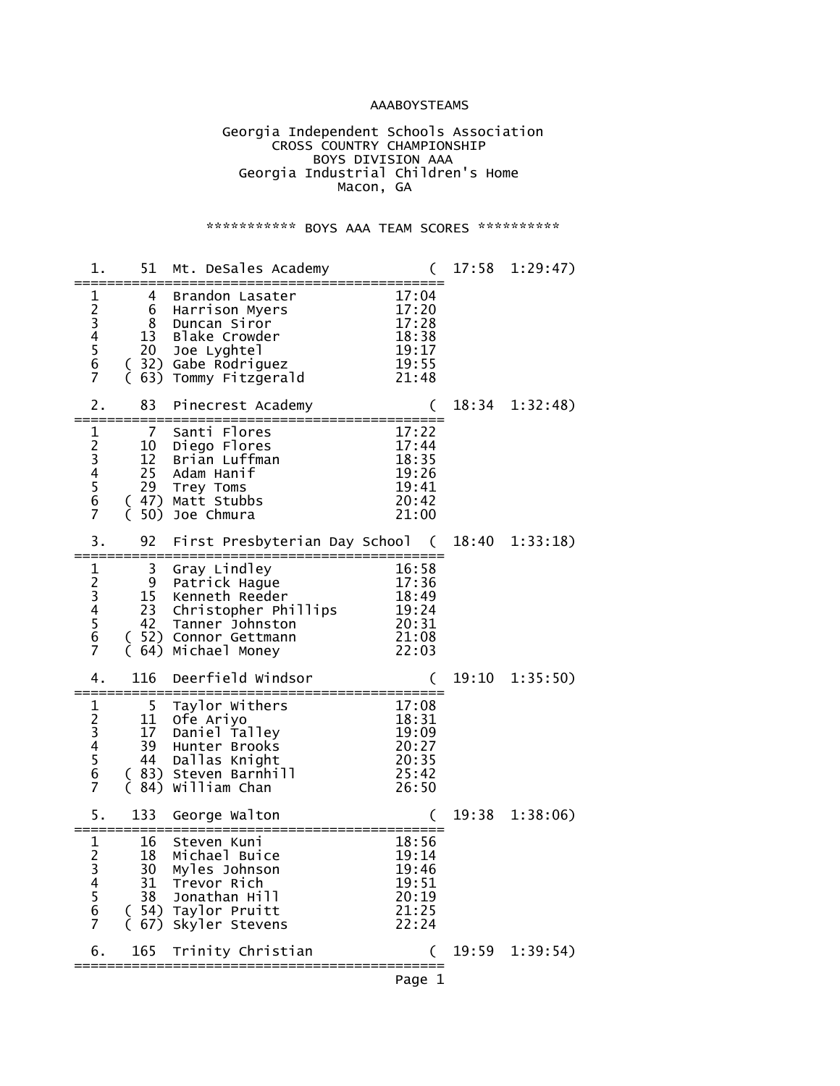### AAABOYSTEAMS

 Georgia Independent Schools Association **CROSS COUNTRY CHAMPIONSHIP**  BOYS DIVISION AAA Georgia Industrial Children's Home Macon, GA

### \*\*\*\*\*\*\*\*\*\*\*\* BOYS AAA TEAM SCORES \*\*\*\*\*\*\*\*\*\*\*

| 1.                                                                          | 51                                | Mt. DeSales Academy                                                                                                                                                          |                                                                           | 17:58 | 1:29:47) |
|-----------------------------------------------------------------------------|-----------------------------------|------------------------------------------------------------------------------------------------------------------------------------------------------------------------------|---------------------------------------------------------------------------|-------|----------|
| $\mathbf 1$<br>23456<br>$\overline{7}$                                      | 4<br>6<br>8<br>13<br>20<br>63)    | Brandon Lasater<br>Harrison Myers<br>Duncan Siror<br>Blake Crowder<br>Joe Lyghtel<br>( 32) Gabe Rodriguez<br>( 32) Gabe Rodriguez<br>( 63) Tommv Fitters<br>Tommy Fitzgerald | 17:04<br>17:20<br>17:28<br>18:38<br>19:17<br>$\frac{1}{19}$ : 55<br>21:48 |       |          |
| 2.                                                                          | 83                                | Pinecrest Academy                                                                                                                                                            |                                                                           | 18:34 | 1:32:48  |
| 1<br>2<br>3<br>4<br>5<br>6<br>$\overline{7}$                                | 7<br>10<br>12<br>25<br>29<br>(50) | Santi Flores<br>Diego Flores<br>Brian Luffman<br>Adam Hanif<br>Trey Toms<br>(47) Matt Stubbs<br>Joe Chmura                                                                   | 17:22<br>17:44<br>18:35<br>19:26<br>19:41<br>20:42<br>21:00               |       |          |
| 3.                                                                          | 92                                | First Presbyterian Day School (                                                                                                                                              |                                                                           | 18:40 | 1:33:18  |
| $\mathbf 1$<br>23456<br>$\overline{7}$                                      | 3<br>9<br>42                      | Gray Lindley<br>Patrick Hague<br>15 Kenneth Reeder<br>23 Christopher Phillips<br>Tanner Johnston<br>( 52) Connor Gettmann<br>64) Michael Money                               | 16:58<br>17:36<br>18:49<br>19:24<br>20:31<br>21:08<br>22:03               |       |          |
| 4.                                                                          | 116                               | Deerfield Windsor                                                                                                                                                            |                                                                           | 19:10 | 1:35:50) |
| 1<br>$\begin{array}{c} 2 \\ 3 \\ 4 \end{array}$<br>$\overline{5}$<br>6<br>7 | 5<br>11<br>17<br>39<br>44         | Taylor Withers<br>Ofe Ariyo<br>Daniel Talley<br>Hunter Brooks<br>Dallas Knight<br>( 83) Steven Barnhill<br>(84) William Chan                                                 | 17:08<br>18:31<br>19:09<br>20:27<br>20:35<br>$\overline{2}5:42$<br>26:50  |       |          |
| 5.                                                                          | 133                               | George Walton                                                                                                                                                                |                                                                           | 19:38 | 1:38:06  |
| $\frac{1}{2}$<br>3<br>4<br>5<br>6<br>7                                      | 16<br>18<br>30<br>31<br>38        | Steven Kuni<br>Michael Buice<br>Myles Johnson<br>Trevor Rich<br>Jonathan Hill<br>(54) Taylor Pruitt<br>(67) Skyler Stevens                                                   | 18:56<br>19:14<br>19:46<br>19:51<br>20:19<br>21:25<br>22:24               |       |          |
| 6.                                                                          | 165                               | Trinity Christian                                                                                                                                                            |                                                                           | 19:59 | 1:39:54) |
|                                                                             |                                   |                                                                                                                                                                              | Page 1                                                                    |       |          |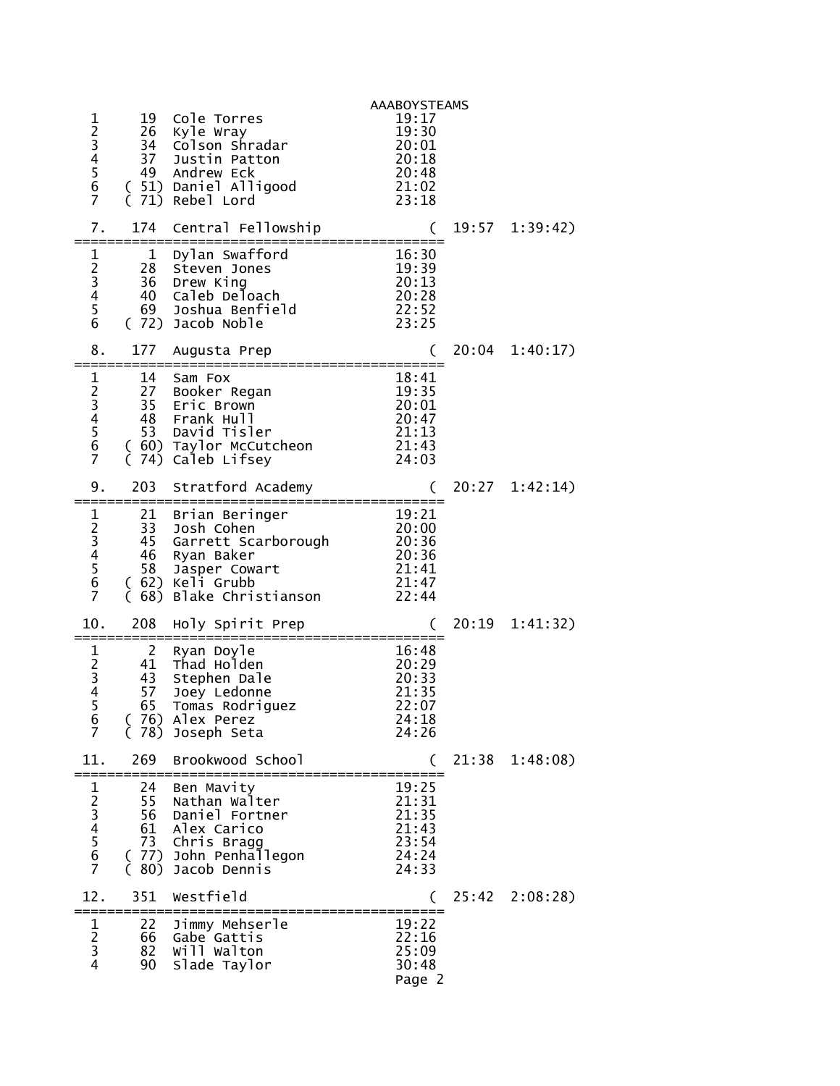|                                                                         |                                             |                                                                                                                                              | <b>AAABOYSTEAMS</b>                                         |                |
|-------------------------------------------------------------------------|---------------------------------------------|----------------------------------------------------------------------------------------------------------------------------------------------|-------------------------------------------------------------|----------------|
| 123456<br>$\overline{7}$                                                | 19<br>26                                    | Cole Torres<br>Kyle Wray<br>34 Colson Shradar<br>37 Justin Patton<br>49 Andrew Eck<br>(51) Daniel Alligood<br>(71) Rebel Lord                | 19:17<br>19:30<br>20:01<br>20:18<br>20:48<br>21:02<br>23:18 |                |
| 7.                                                                      | 174                                         | Central Fellowship                                                                                                                           | :==================                                         | 19:57 1:39:42) |
| 1<br>$\begin{array}{c} 2 \\ 3 \\ 4 \\ 5 \end{array}$<br>$6\overline{6}$ | ==========<br>28                            | 1 Dylan Swafford<br>Steven Jones<br>36 Drew King<br>40 Caleb Deloach<br>69 Joshua Benfield<br>(72) Jacob Noble                               | 16:30<br>19:39<br>20:13<br>20:13<br>20:28<br>22:52<br>23:25 |                |
| 8.                                                                      | 177                                         | Augusta Prep                                                                                                                                 | €                                                           | 20:04 1:40:17) |
| $\mathbf 1$<br>23456<br>$\overline{7}$                                  | 14                                          | Sam Fox<br>27 Booker Regan<br>35 Eric Brown<br>48 Frank Hull<br>53 David Tisler<br>( 60) Taylor McCutcheon<br>(74) Caleb Lifsey              | 18:41<br>19:35<br>20:01<br>20:47<br>21:13<br>21:43<br>24:03 |                |
| 9.                                                                      | 203                                         | Stratford Academy                                                                                                                            |                                                             | 20:27 1:42:14) |
| 1<br>23456<br>$\overline{7}$                                            | 58                                          | 21 Brian Beringer<br>33 Josh Cohen<br>45 Garrett Scarborough<br>46 Ryan Baker<br>Jasper Cowart<br>(62) Keli Grubb<br>(68) Blake Christianson | 19:21<br>20:00<br>20:36<br>20:36<br>21:41<br>21:47<br>22:44 |                |
| 10.                                                                     | 208<br>=============                        | Holy Spirit Prep                                                                                                                             | ========================                                    | 20:19 1:41:32) |
| $\begin{array}{c} 1 \\ 2 \\ 3 \\ 4 \end{array}$<br>5<br>6<br>7          | $\overline{2}$<br>41<br>43<br>57<br>65<br>C | Ryan Doyle<br>Thad Holden<br>Stephen Dale<br>Joey Ledonne<br>Tomas Rodriguez<br>(76) Alex Perez<br>78) Joseph Seta                           | 16:48<br>20:29<br>20:33<br>21:35<br>22:07<br>24:18<br>24:26 |                |
| 11.                                                                     | 269                                         | Brookwood School                                                                                                                             |                                                             | 21:38 1:48:08) |
| $\mathbf 1$<br>234567                                                   | 24<br>56<br>61<br>73                        | Ben Mavity<br>55 Nathan Walter<br>Daniel Fortner<br>Alex Carico<br>Chris Bragg<br>( 77) John Penhallegon<br>( 80) Jacob Dennis               | 19:25<br>21:31<br>21:35<br>21:43<br>23:54<br>24:24<br>24:33 |                |
| 12.                                                                     | 351                                         | Westfield                                                                                                                                    |                                                             | 25:42 2:08:28) |
| $\frac{1}{2}$<br>3<br>$\overline{4}$                                    | 22<br>66<br>82<br>90                        | Jimmy Mehserle<br>Gabe Gattis<br>will walton<br>Slade Taylor                                                                                 | 19:22<br>22:16<br>25:09<br>30:48<br>Page 2                  |                |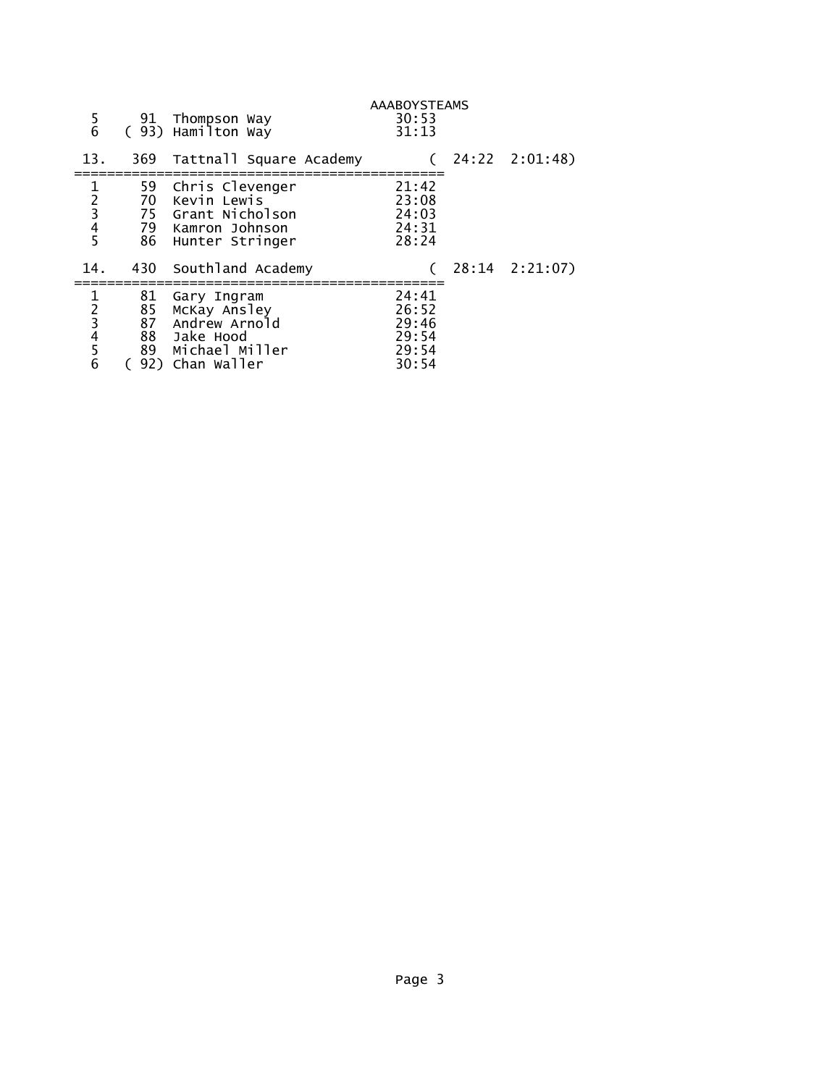| $\frac{5}{6}$                                                     |          | 91 Thompson Way<br>(93) Hamilton Way                                                                    | <b>AAABOYSTEAMS</b><br>30:53<br>31:13              |                |
|-------------------------------------------------------------------|----------|---------------------------------------------------------------------------------------------------------|----------------------------------------------------|----------------|
| 13.                                                               | 369      | Tattnall Square Academy                                                                                 |                                                    | 24:22 2:01:48) |
| $\mathbf{1}$<br>$\begin{array}{c}\n2 \\ 3 \\ 4 \\ 5\n\end{array}$ | 59<br>70 | Chris Clevenger<br>Kevin Lewis<br>75 Grant Nicholson<br>79 Kamron Johnson<br>86 Hunter Stringer         | 21:42<br>23:08<br>24:03<br>24:31<br>28:24          |                |
| 14.                                                               | 430      | Southland Academy                                                                                       |                                                    | 28:14 2:21:07) |
| $\frac{1}{2}$ $\frac{3}{4}$ $\frac{4}{5}$ $\frac{6}{5}$           | 81<br>85 | Gary Ingram<br>McKay Ansley<br>87 Andrew Arnold<br>88 Jake Hood<br>89 Michael Miller<br>92) Chan Waller | 24:41<br>26:52<br>29:46<br>29:54<br>29:54<br>30:54 |                |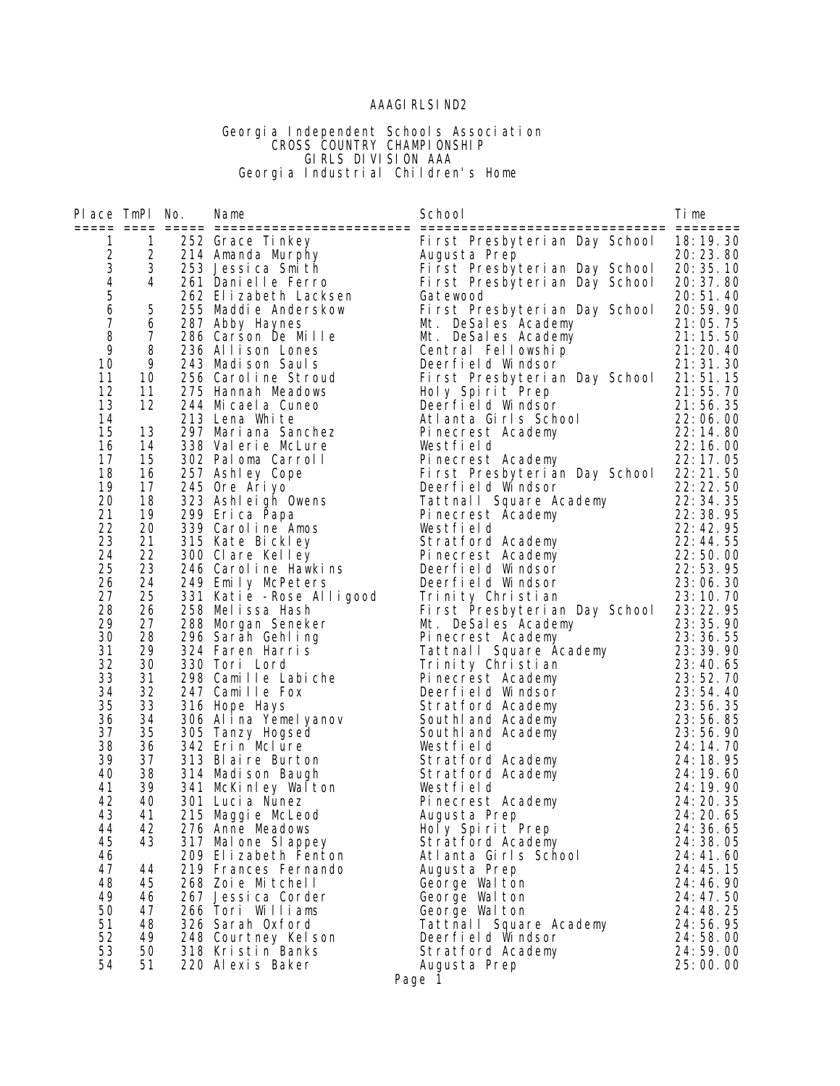### AAAGIRLSIND2

#### Georgia Independent Schools Association **CROSS COUNTRY CHAMPIONSHIP**  GIRLS DIVISION AAA Georgia Industrial Children's Home

| Place TmPl No.                             |                  | Name                                                                           | School                                                                                                                    | Time       |
|--------------------------------------------|------------------|--------------------------------------------------------------------------------|---------------------------------------------------------------------------------------------------------------------------|------------|
|                                            |                  |                                                                                |                                                                                                                           |            |
| $\mathbf{1}$                               | $\mathbf{1}$     | 252 Grace Tinkey<br>252 Grace Tinkey<br>214 Amanda Murphy<br>253 Jessica Smith | First Presbyterian Day School                                                                                             | 18:19.30   |
|                                            | $2 \overline{ }$ |                                                                                | Augusta Prep                                                                                                              | 20:23.80   |
| $\begin{array}{c} 2 \\ 3 \\ 4 \end{array}$ | 3                |                                                                                | First Presbyterian Day School                                                                                             | 20: 35. 10 |
|                                            | 4                | 261 Danielle Ferro                                                             | First Presbyterian Day School                                                                                             | 20: 37.80  |
| $\begin{array}{c} 5 \\ 6 \end{array}$      |                  | 262 Elizabeth Lacksen                                                          | Gatewood                                                                                                                  | 20:51.40   |
|                                            | 5                | 255 Maddie Anderskow                                                           | First Presbyterian Day School                                                                                             | 20:59.90   |
| $\overline{7}$                             | 6                | 287 Abby Haynes                                                                | Mt. DeSales Academy                                                                                                       | 21:05.75   |
| 8                                          | $\overline{7}$   | 286 Carson De Mille                                                            |                                                                                                                           |            |
| 9                                          | 8                | 236 Allison Lones                                                              | Mr. Desailes Academy<br>Central Fellowship 21:10.00<br>Central Fellowship 21:20.40<br>21:31.30                            |            |
| 10                                         | 9                | 243 Madison Sauls                                                              |                                                                                                                           |            |
| 11                                         | 10               | 256 Caroline Stroud                                                            | First Presbyterian Day School 21:51.15                                                                                    |            |
| 12                                         | 11               | 275 Hannah Meadows                                                             | Holy Spirit Prep                                                                                                          | 21:55.70   |
| 13                                         | 12               | 244 Micaela Cuneo                                                              |                                                                                                                           |            |
| 14                                         |                  | 213 Lena White                                                                 | Holy Spirit Prep 21:55.70<br>Deerfield Windsor 21:56.35<br>Atlanta Girls School 22:06.00                                  |            |
| 15                                         | 13               | 297 Mari ana Sanchez                                                           | 22: 14. 80<br>22: 14. 80<br>22: 16. 00<br>22: 17. 05<br>Pinecrest Academy                                                 |            |
| 16                                         | 14               | 338 Valerie McLure                                                             | Westfield                                                                                                                 |            |
| 17                                         | 15               | 302 Paloma Carroll                                                             | Pinecrest Academy                                                                                                         | 22:17.05   |
| 18                                         | 16               | 257 Ashley Cope                                                                | First Presbyterian Day School 22:21.50                                                                                    |            |
| 19                                         | 17               | 245 Ore Ariyo                                                                  | Deerfield Windsor                                                                                                         | 22: 22. 50 |
| 20                                         | 18               | 323 Ashleigh Owens                                                             |                                                                                                                           |            |
| 21                                         | 19               | 299 Erica Papa                                                                 | Tattnall Square Academy<br>Pinecrest Academy<br>Westfield<br>The Strategy<br>22:38.95<br>23:38.95<br>23:38.95<br>23:38.95 |            |
| 22                                         | 20               | 339 Caroline Amos                                                              | Westfield                                                                                                                 | 22:42.95   |
| 23                                         | 21               | 315 Kate Bickley                                                               | Stratford Academy                                                                                                         | 22:44.55   |
| 24                                         | 22               | 300 Clare Kelley                                                               | Pinecrest Academy                                                                                                         |            |
| 25                                         | 23               | 246 Caroline Hawkins                                                           | Deerfield Windsor                                                                                                         |            |
| 26                                         | 24               | 249 Emily McPeters                                                             | Deerfield Windsor                                                                                                         |            |
| 27                                         | 25               | 331 Katie - Rose Alligood                                                      | 22: 50.00<br>22: 53. 95<br>23: 06. 30<br>23: 10. 70<br>Trinity Christian                                                  | 23:10.70   |
| 28                                         | 26               | 258 Melissa Hash                                                               | First Presbyterian Day School 23:22.95                                                                                    |            |
| 29                                         | 27               | 288 Morgan Seneker                                                             | Mt. DeSales Academy                                                                                                       | 23: 35. 90 |
| 30                                         | 28               | 296 Sarah Gehl ing                                                             | Pinecrest Academy                                                                                                         | 23: 36. 55 |
| 31                                         | 29               | 324 Faren Harris                                                               | Pinecrest Academy 23:36.55<br>Tattnall Square Academy 23:39.90<br>Trinity Christian 23:40.65                              |            |
| 32                                         | 30               | 330 Tori Lord                                                                  |                                                                                                                           |            |
| 33                                         | 31               | 298 Camille Labiche                                                            | Pinecrest Academy                                                                                                         | 23:52.70   |
| 34                                         | 32               | 247 Camille Fox                                                                | Deerfield Windsor                                                                                                         | 23:54.40   |
| 35                                         | 33               | 316 Hope Hays                                                                  | Stratford Academy                                                                                                         | 23:56.35   |
| 36                                         | 34               |                                                                                | South and Academy                                                                                                         | 23:56.85   |
| 37                                         | 35               | 306 Alina Yémelyanov<br>305 Tanzy Hogsed<br>305 Tanzy Hogsed                   | South and Academy                                                                                                         | 23:56.90   |
| 38                                         | 36               | 342 Erin Mclure                                                                | Westfield                                                                                                                 | 24: 14. 70 |
| 39                                         | 37               | 313 Blaire Burton                                                              |                                                                                                                           | 24: 18. 95 |
| 40                                         | 38               | 314 Madi son Baugh                                                             | Stratford Academy<br>Stratford Academy                                                                                    | 24:19.60   |
| 41                                         | 39               |                                                                                | Westfield                                                                                                                 | 24: 19. 90 |
| 42                                         | 40               | 341 McKinley Walton                                                            |                                                                                                                           |            |
| 43                                         | 41               | 301 Luci a Nunez                                                               | Pinecrest Academy                                                                                                         | 24: 20. 35 |
|                                            |                  | 215 Maggie McLeod                                                              | Augusta Prep                                                                                                              | 24: 20. 65 |
| 44<br>45                                   | 42<br>43         | 276 Anne Meadows                                                               | Holy Spirit Prep                                                                                                          | 24: 36. 65 |
|                                            |                  | 317 Mal one SI appey                                                           | Stratford Academy                                                                                                         | 24: 38. 05 |
| 46                                         |                  | 209 Elizabeth Fenton                                                           | Atlanta Girls School                                                                                                      | 24:41.60   |
| 47                                         | 44               | 219 Frances Fernando                                                           | Augusta Prep                                                                                                              | 24: 45. 15 |
| 48                                         | 45               | 268 Zoie Mitchell                                                              | George Walton                                                                                                             | 24:46.90   |
| 49                                         | 46               | 267 Jessica Corder                                                             | George Walton                                                                                                             | 24:47.50   |
| 50                                         | 47               | 266 Tori Williams                                                              | George Walton                                                                                                             | 24:48.25   |
| 51                                         | 48               | 326 Sarah Oxford                                                               | Tattnall Square Academy                                                                                                   | 24:56.95   |
| 52                                         | 49               | 248 Courtney Kelson                                                            | Deerfield Windsor                                                                                                         | 24:58.00   |
| 53                                         | 50               | 318 Kristin Banks                                                              | Stratford Academy                                                                                                         | 24:59.00   |
| 54                                         | 51               | 220 Alexis Baker                                                               | Augusta Prep                                                                                                              | 25:00.00   |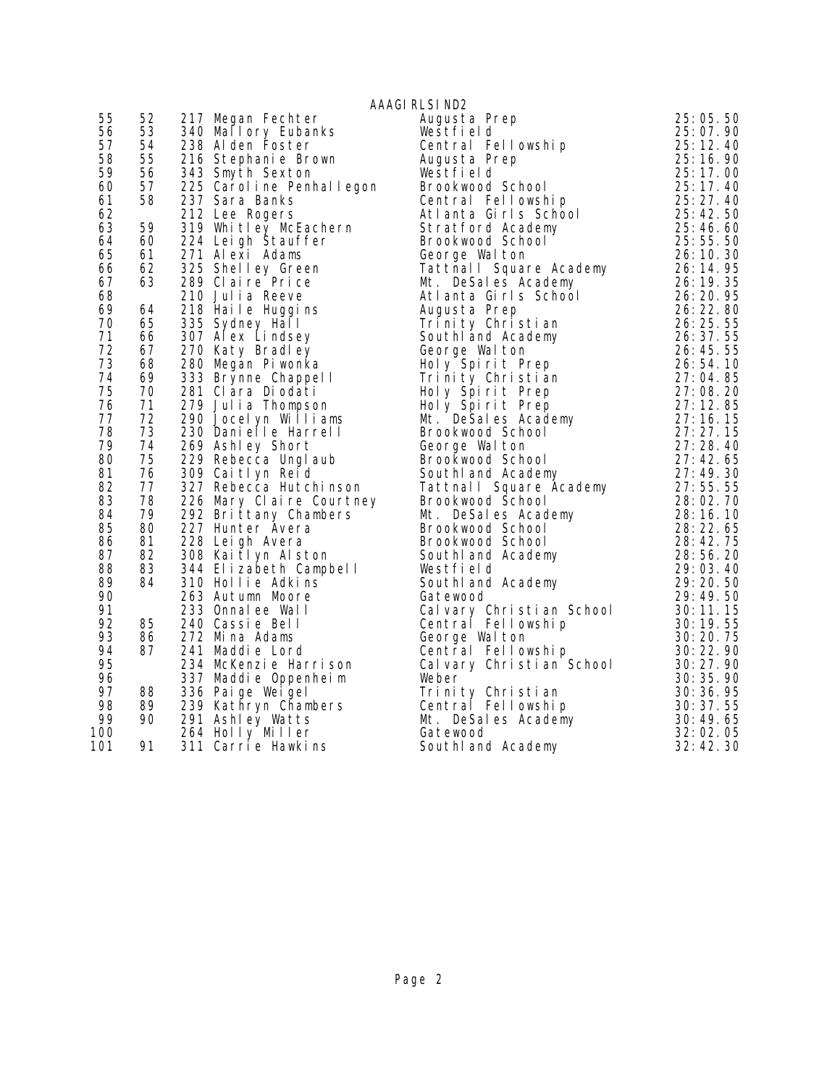|          |                                    |                                                                                                                                                                                                           | AAAGI RLSI ND2                                                                                                                                                                                                                                           |                             |
|----------|------------------------------------|-----------------------------------------------------------------------------------------------------------------------------------------------------------------------------------------------------------|----------------------------------------------------------------------------------------------------------------------------------------------------------------------------------------------------------------------------------------------------------|-----------------------------|
| 55       | 52                                 | 217 Megan Fechter                                                                                                                                                                                         | Augusta Prep                                                                                                                                                                                                                                             | 25:05.50                    |
| 56       | 53                                 | 217 Megan Fechter<br>340 Mallory Eubanks<br>238 Alden Foster<br>216 Stephanie Brown                                                                                                                       | Westfield                                                                                                                                                                                                                                                | 25:07.90                    |
| 57       | 54                                 |                                                                                                                                                                                                           | Central Fellowship                                                                                                                                                                                                                                       | 25:12.40                    |
| 58       | 55                                 |                                                                                                                                                                                                           | Augusta Prep                                                                                                                                                                                                                                             | 25:16.90                    |
| 59       | 55<br>56<br>57<br>50               | 343 Smyth Sexton                                                                                                                                                                                          | Westfield                                                                                                                                                                                                                                                | 25:17.00                    |
| 60       |                                    | 225 Caroline Penhallegon                                                                                                                                                                                  |                                                                                                                                                                                                                                                          |                             |
| 61       | 58                                 | 237 Sara Banks                                                                                                                                                                                            | Examples<br>Brookwood School 25:17.40<br>Central Fellowship 25:27.40<br>Atlanta Girls School 25:42.50                                                                                                                                                    |                             |
| 62       |                                    | 212 Lee Rogers                                                                                                                                                                                            |                                                                                                                                                                                                                                                          |                             |
| 63       | 59                                 |                                                                                                                                                                                                           |                                                                                                                                                                                                                                                          |                             |
| 64       | 60                                 | 224 Leigh Stauffer                                                                                                                                                                                        |                                                                                                                                                                                                                                                          |                             |
| 65       |                                    |                                                                                                                                                                                                           |                                                                                                                                                                                                                                                          |                             |
| 66       | $60$<br>$61$<br>$62$               | 271 Alexi Adams<br>325 Shelley Green<br>289 Claire Price                                                                                                                                                  |                                                                                                                                                                                                                                                          |                             |
| 67       | 63                                 |                                                                                                                                                                                                           |                                                                                                                                                                                                                                                          |                             |
| 68       |                                    | 210 Julia Reeve                                                                                                                                                                                           |                                                                                                                                                                                                                                                          |                             |
| 69       | 64                                 | 210 Julia Roove<br>218 Haile Huggins<br>225 Stephen Hall                                                                                                                                                  |                                                                                                                                                                                                                                                          |                             |
| 70       | 65<br>66                           | 335 Sydney Hall                                                                                                                                                                                           |                                                                                                                                                                                                                                                          |                             |
| 71       |                                    | 307 Alex Lindsey                                                                                                                                                                                          |                                                                                                                                                                                                                                                          |                             |
| 72       | 67<br>68                           | 270 Katy Bradley                                                                                                                                                                                          |                                                                                                                                                                                                                                                          |                             |
| 73       |                                    | 280 Megan Pi wonka                                                                                                                                                                                        |                                                                                                                                                                                                                                                          |                             |
| 74       | 69<br>70                           | 280 Micyan<br>333 Brynne Chappel I                                                                                                                                                                        |                                                                                                                                                                                                                                                          |                             |
| 75       |                                    | 281 Clara Diodati                                                                                                                                                                                         |                                                                                                                                                                                                                                                          |                             |
| 76       | $\frac{71}{72}$                    | 279 Julia Thompson                                                                                                                                                                                        |                                                                                                                                                                                                                                                          |                             |
| 77       |                                    | 290 Jocelyn Williams                                                                                                                                                                                      |                                                                                                                                                                                                                                                          |                             |
| 78       | $\frac{73}{74}$<br>$\frac{74}{75}$ | 230 Danielle Harrell                                                                                                                                                                                      | Central Fellowship<br>25: 27. 40<br>Atlanta Girls School<br>Stratford Academy<br>25: 42.50<br>Stratford Academy<br>26: 42.50<br>George Walton<br>Tattinal Square Academy<br>26: 10.30<br>Tattinal Square Academy<br>26: 10.30<br>26: 10.30<br>Atlanta Gi |                             |
| 79       |                                    | 229 Rebecca Unglaub<br>309 Caitlyn Reid                                                                                                                                                                   |                                                                                                                                                                                                                                                          |                             |
| 80       |                                    |                                                                                                                                                                                                           |                                                                                                                                                                                                                                                          |                             |
| 81       | 76<br>77                           |                                                                                                                                                                                                           |                                                                                                                                                                                                                                                          |                             |
| 82       |                                    | 327 Rebecca Hutchinson<br>226 Mary Claire Courtney<br>292 Brittany Chambers<br>227 Hunter Avera<br>228 Leigh Avera                                                                                        |                                                                                                                                                                                                                                                          |                             |
| 83<br>84 | $\frac{3}{79}$<br>90               |                                                                                                                                                                                                           |                                                                                                                                                                                                                                                          |                             |
| 85       |                                    |                                                                                                                                                                                                           |                                                                                                                                                                                                                                                          |                             |
| 86       | 80<br>81                           |                                                                                                                                                                                                           |                                                                                                                                                                                                                                                          |                             |
| 87       |                                    |                                                                                                                                                                                                           |                                                                                                                                                                                                                                                          |                             |
| 88       |                                    |                                                                                                                                                                                                           |                                                                                                                                                                                                                                                          |                             |
| 89       |                                    | 81 228 Leigh Avera<br>82 308 Kaitlyn Alston<br>83 344 Elizabeth Campbell<br>84 310 Hollie Adkins<br>263 Autumn Moore<br>233 Onnalee Wall<br>85 240 Cassie Bell<br>86 272 Mina Adams<br>87 241 Maddie Lord |                                                                                                                                                                                                                                                          | $\frac{29:20.50}{29:40.50}$ |
| 90       |                                    |                                                                                                                                                                                                           | Southland Academy<br>Gatewood<br>Gatewood                                                                                                                                                                                                                | 29:49.50                    |
| 91       |                                    |                                                                                                                                                                                                           |                                                                                                                                                                                                                                                          |                             |
| 92       |                                    |                                                                                                                                                                                                           |                                                                                                                                                                                                                                                          |                             |
| 93       |                                    |                                                                                                                                                                                                           |                                                                                                                                                                                                                                                          |                             |
| 94       | 87                                 | 241 Maddie Lord                                                                                                                                                                                           |                                                                                                                                                                                                                                                          |                             |
| 95       |                                    | 234 McKenzie Harrison<br>337 Maddie Oppenheim                                                                                                                                                             |                                                                                                                                                                                                                                                          |                             |
| 96       |                                    |                                                                                                                                                                                                           |                                                                                                                                                                                                                                                          |                             |
| 97       | 88                                 | 336 Pai ge Wei gel                                                                                                                                                                                        | Gatewood<br>Cal vary Christian School<br>Cal vary Christian School<br>Gentral Fellowship<br>George Wal ton<br>Central Fellowship<br>Cal vary Christian School<br>Cal vary Christian School<br>Weber<br>Trinity Christian<br>Trinity Christian<br>Tri     |                             |
| 98       | 89<br>90                           | 239 Kathryn Chambers                                                                                                                                                                                      |                                                                                                                                                                                                                                                          |                             |
| 99       |                                    | 291 Ashley Watts                                                                                                                                                                                          |                                                                                                                                                                                                                                                          |                             |
| 100      |                                    | 264 Holly Miller                                                                                                                                                                                          |                                                                                                                                                                                                                                                          |                             |
| 101      | 91                                 | 311 Carrie Hawkins                                                                                                                                                                                        | South and Academy                                                                                                                                                                                                                                        | 32:42.30                    |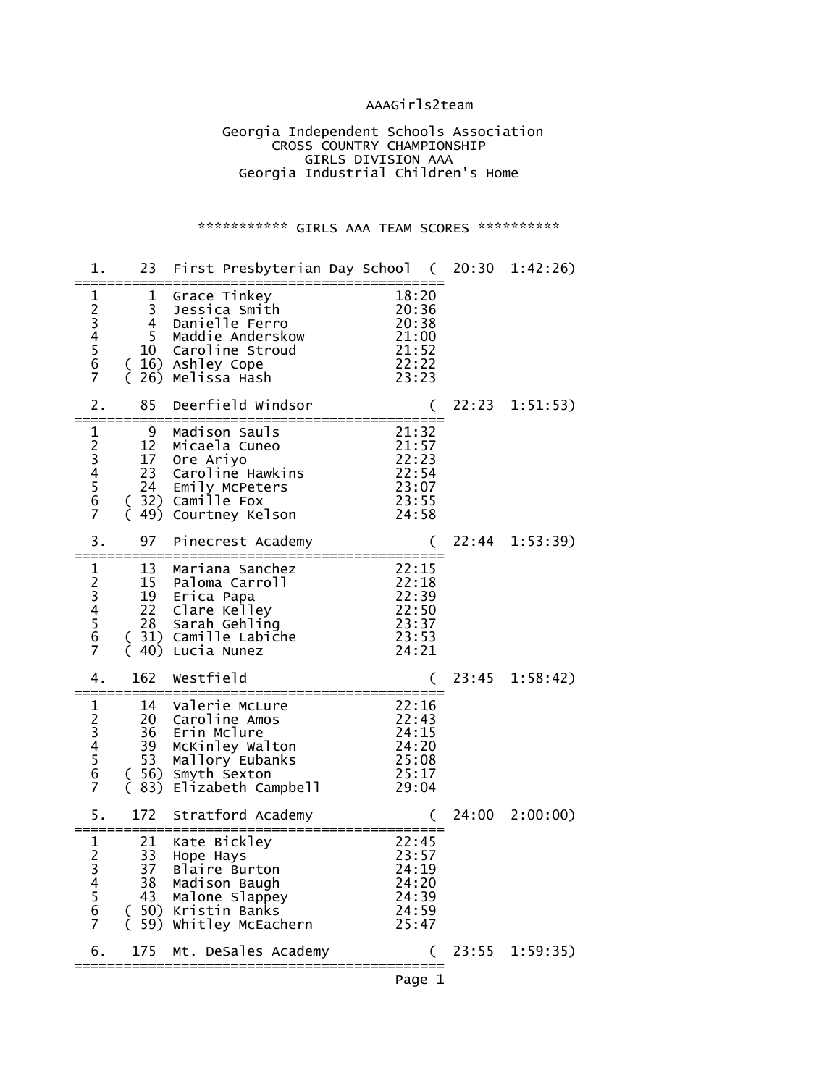### AAAGirls2team

 Georgia Independent Schools Association **CROSS COUNTRY CHAMPIONSHIP**  GIRLS DIVISION AAA Georgia Industrial Children's Home

### \*\*\*\*\*\*\*\*\*\*\*\* GIRLS AAA TEAM SCORES \*\*\*\*\*\*\*\*\*\*\*

| 1.                                                        | 23                                     | First Presbyterian Day School (20:30 1:42:26)                                                                                     |                                                             |       |                |
|-----------------------------------------------------------|----------------------------------------|-----------------------------------------------------------------------------------------------------------------------------------|-------------------------------------------------------------|-------|----------------|
| 1<br>23456<br>$\overline{7}$                              | 1<br>3<br>4<br>5                       | Grace Tinkey<br>Jessica Smith<br>Danielle Ferro<br>Maddie Anderskow<br>10 Caroline Stroud<br>(16) Ashley Cope<br>26) Melissa Hash | 18:20<br>20:36<br>20:38<br>21:00<br>21:52<br>22:22<br>23:23 |       |                |
| 2.                                                        | 85                                     | Deerfield Windsor                                                                                                                 |                                                             | 22:23 | 1:51:53)       |
| 1<br>2<br>3<br>4<br>5<br>6<br>$\overline{7}$              | 9<br>12<br>17<br>23<br>24              | Madison Sauls<br>Micaela Cuneo<br>Ore Ariyo<br>Caroline Hawkins<br>Emily McPeters<br>(32) Camille Fox<br>49) Courtney Kelson      | 21:32<br>21:57<br>22:23<br>22:54<br>23:07<br>23:55<br>24:58 |       |                |
| 3.                                                        | 97                                     | Pinecrest Academy                                                                                                                 |                                                             |       | 22:44 1:53:39) |
| 1<br>23456<br>$\overline{7}$                              | 13<br>15<br>19<br>22<br>28<br>40)<br>€ | Mariana Sanchez<br>Paloma Carroll<br>Erica Papa<br>Clare Kelley<br>Sarah Gehling<br>(31) Camille Labiche<br>Lucia Nunez           | 22:15<br>22:18<br>22:39<br>22:50<br>23:37<br>23:53<br>24:21 |       |                |
| 4.                                                        | 162                                    | Westfield                                                                                                                         |                                                             | 23:45 | 1:58:42)       |
| 1<br>23456<br>$\overline{7}$                              | 14<br>20<br>36<br>39<br>53<br>(56)     | Valerie McLure<br>Caroline Amos<br>Erin Mclure<br>McKinley Walton<br>Mallory Eubanks<br>Smyth Sexton<br>(83) Elizabeth Campbell   | 22:16<br>22:43<br>24:15<br>24:20<br>25:08<br>25:17<br>29:04 |       |                |
| 5.                                                        | 172                                    | Stratford Academy                                                                                                                 |                                                             | 24:00 | 2:00:00)       |
| 1<br>$\overline{2}$<br>3<br>4<br>5<br>6<br>$\overline{7}$ | 21<br>33<br>37<br>38                   | Kate Bickley<br>Hope Hays<br>Blaire Burton<br>Madison Baugh<br>43 Malone Slappey<br>(50) Kristin Banks<br>(59) Whitley McEachern  | 22:45<br>23:57<br>24:19<br>24:20<br>24:39<br>24:59<br>25:47 |       |                |
| 6.                                                        | 175                                    | Mt. DeSales Academy<br>:================                                                                                          |                                                             |       | 23:55 1:59:35) |
|                                                           |                                        |                                                                                                                                   | Page 1                                                      |       |                |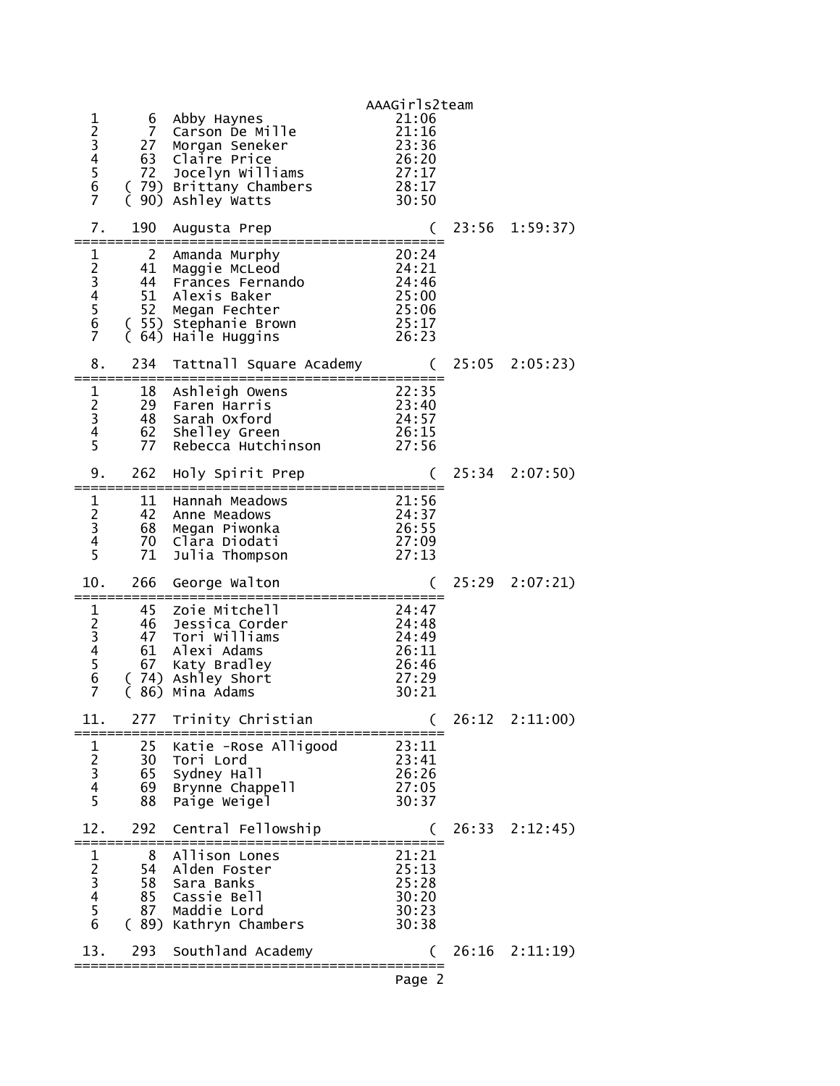|                                                                            |                                        |                                                                                                                                        | AAAGirls2team                                                                  |       |                |
|----------------------------------------------------------------------------|----------------------------------------|----------------------------------------------------------------------------------------------------------------------------------------|--------------------------------------------------------------------------------|-------|----------------|
| 1234567                                                                    | 6<br>$\overline{7}$<br>27<br>72        | Abby Haynes<br>Carson De Mille<br>Morgan Seneker<br>63 Claire Price<br>Jocelyn Williams<br>(79) Brittany Chambers<br>(90) Ashley Watts | 21:06<br>21:16<br>23:36<br>26:20<br>27:17<br>28:17<br>30:50                    |       |                |
| 7.                                                                         | 190                                    | Augusta Prep                                                                                                                           |                                                                                |       | 23:56 1:59:37) |
| ====<br>1<br>23456<br>$\overline{7}$                                       | 2<br>41<br>44<br>52                    | Amanda Murphy<br>Maggie McLeod<br>Frances Fernando<br>51 Alexis Baker<br>Megan Fechter<br>( 55) Stephanie Brown<br>(64) Haile Huggins  | :==============<br>20:24<br>24:21<br>24:46<br>25:00<br>25:06<br>25:17<br>26:23 |       |                |
| 8.                                                                         | 234                                    | Tattnall Square Academy                                                                                                                |                                                                                |       | 25:05 2:05:23) |
| $\mathbf{1}$<br>$\frac{2}{3}$<br>$\overline{\mathbf{4}}$<br>$\overline{5}$ | 18<br>29<br>77                         | Ashleigh Owens<br>Faren Harris<br>48 Sarah Oxford<br>62 Shelley Green<br>Rebecca Hutchinson                                            | $\frac{22}{23:40}$<br>23:40<br>24:57<br>$\overline{2}6:15$<br>27:56            |       |                |
| 9.                                                                         | 262                                    | Holy Spirit Prep                                                                                                                       |                                                                                |       | 25:34 2:07:50) |
| $\mathbf{1}$<br>$\begin{array}{c} 2 \\ 3 \\ 4 \\ 5 \end{array}$            | 11<br>42<br>68<br>70<br>71             | Hannah Meadows<br>Anne Meadows<br>Megan Piwonka<br>Clara Diodati<br>Julia Thompson                                                     | 21:56<br>24:37<br>26:55<br>27:09<br>27:13                                      |       |                |
| 10.                                                                        | 266                                    | George Walton                                                                                                                          |                                                                                |       | 25:29 2:07:21) |
| 123456<br>$\overline{7}$                                                   | 45<br>46<br>47<br>61<br>67<br>86)<br>C | Zoie Mitchell<br>Jessica Corder<br>Tori Williams<br>Alexi Adams<br>Katy Bradley<br>(74) Ashley Short<br>Mina Adams                     | 24:47<br>24:48<br>24:49<br>26:11<br>26:46<br>27:29<br>30:21                    |       |                |
| 11.                                                                        | 277                                    | Trinity Christian                                                                                                                      |                                                                                | 26:12 | 2:11:00        |
| $\frac{1}{2}$ $\frac{2}{3}$ $\frac{4}{5}$                                  | 25<br>30<br>65<br>69<br>88             | Katie - Rose Alligood<br>Tori Lord<br>Sydney Hall<br>Brynne Chappell<br>Paige Weigel                                                   | 23:11<br>23:41<br>26:26<br>27:05<br>30:37                                      |       |                |
| 12.                                                                        | 292                                    | Central Fellowship                                                                                                                     |                                                                                | 26:33 | 2:12:45)       |
| 123456                                                                     | 8<br>54<br>58<br>85<br>87              | Allison Lones<br>Alden Foster<br>Sara Banks<br>Cassie Bell<br>Maddie Lord<br>(89) Kathryn Chambers                                     | 21:21<br>25:13<br>25:28<br>30:20<br>30:23<br>30:38                             |       |                |
| 13.                                                                        | 293                                    | Southland Academy                                                                                                                      |                                                                                | 26:16 | 2:11:19        |
|                                                                            |                                        |                                                                                                                                        | Page 2                                                                         |       |                |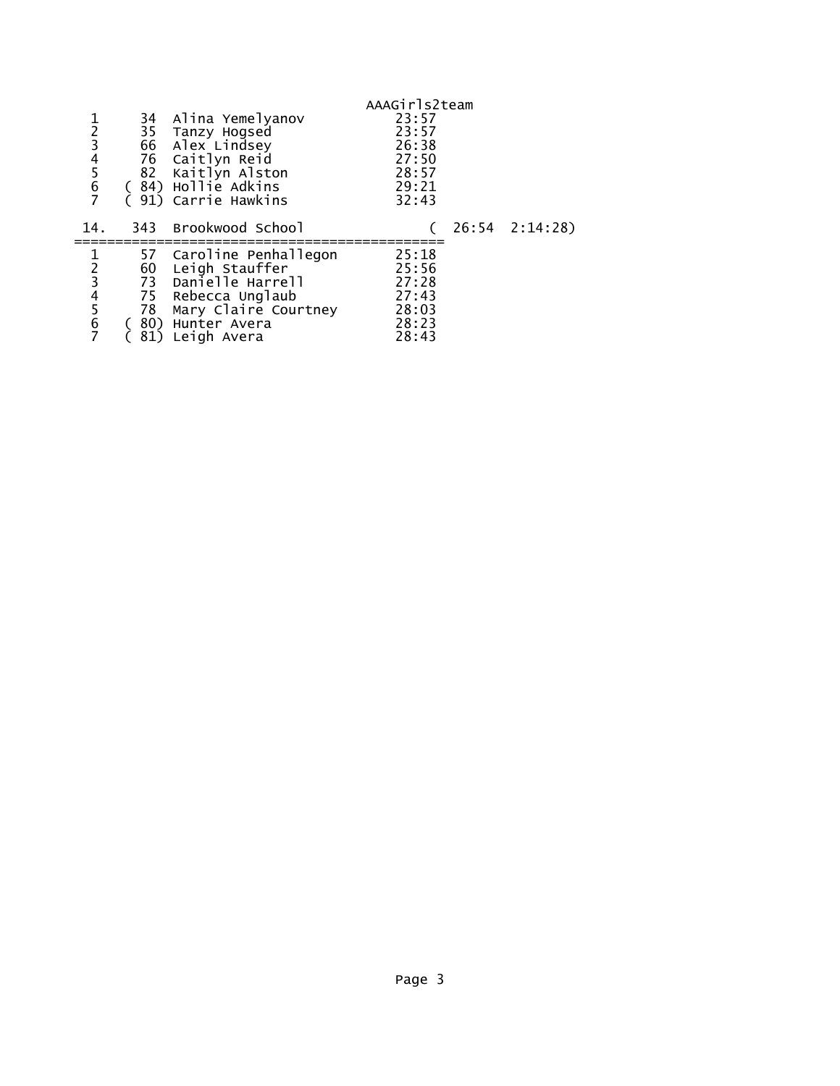| 1234567     |                      | 34 Alina Yemelyanov<br>35 Tanzy Hogsed<br>66 Alex Lindsey<br>76 Caitlyn Reid<br>82 Kaitlyn Alston<br>84) Hollie Adkins<br>91) Carrie Hawkins | AAAGirls2team<br>23:57<br>23:57<br>26:38<br>27:50<br>28:57<br>29:21<br>32:43 |                |
|-------------|----------------------|----------------------------------------------------------------------------------------------------------------------------------------------|------------------------------------------------------------------------------|----------------|
| 14.         |                      | 343 Brookwood School                                                                                                                         |                                                                              | 26:54 2:14:28) |
| 1<br>234567 | 60<br>73<br>75<br>78 | 57 Caroline Penhallegon<br>Leigh Stauffer<br>Danielle Harrell<br>Rebecca Unglaub<br>Mary Claire Courtney<br>80) Hunter Avera<br>Leigh Avera  | 25:18<br>25:56<br>27:28<br>27:43<br>28:03<br>28:23<br>28:43                  |                |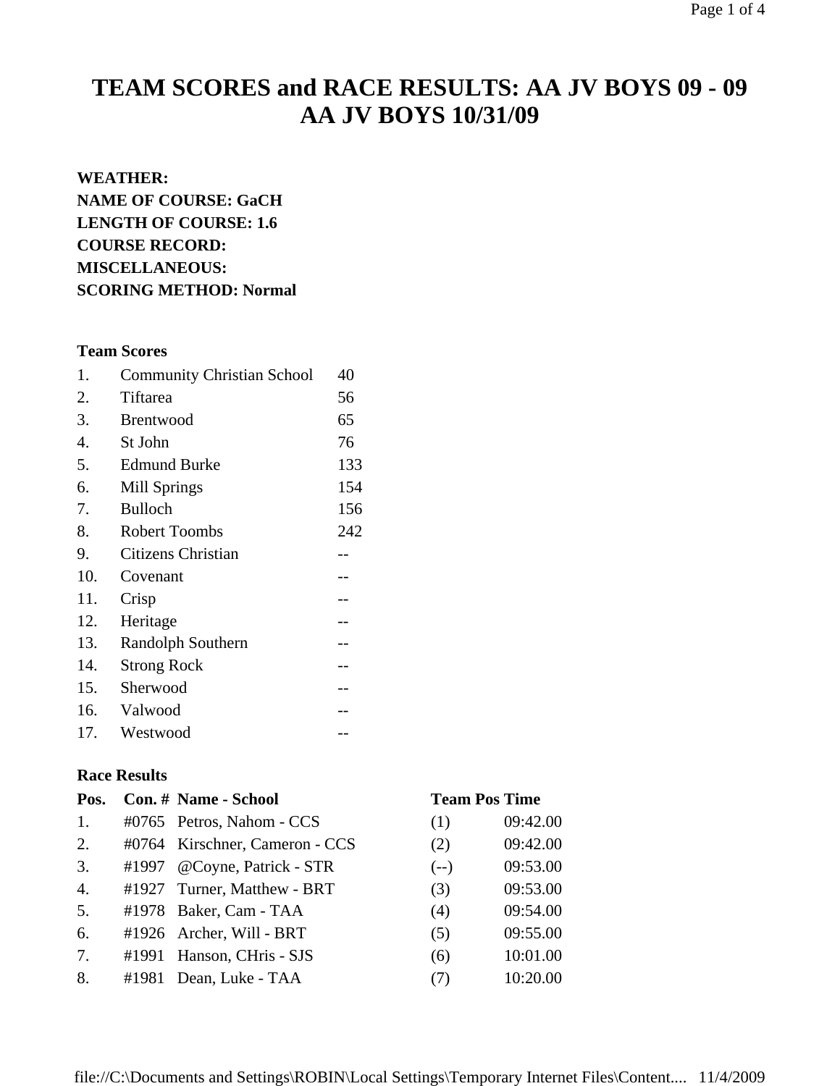# **TEAM SCORES and RACE RESULTS: AA JV BOYS 09 - 09 AA JV BOYS 10/31/09**

### **WEATHER:**

**NAME OF COURSE: GaCH LENGTH OF COURSE: 1.6 COURSE RECORD: MISCELLANEOUS: SCORING METHOD: Normal**

# **Team Scores**

| 1.  | <b>Community Christian School</b> | 40  |
|-----|-----------------------------------|-----|
| 2.  | Tiftarea                          | 56  |
| 3.  | <b>Brentwood</b>                  | 65  |
| 4.  | St John                           | 76  |
| 5.  | <b>Edmund Burke</b>               | 133 |
| 6.  | <b>Mill Springs</b>               | 154 |
| 7.  | <b>Bulloch</b>                    | 156 |
| 8.  | <b>Robert Toombs</b>              | 242 |
| 9.  | Citizens Christian                |     |
| 10. | Covenant                          | . – |
| 11. | Crisp                             |     |
| 12. | Heritage                          | --  |
| 13. | Randolph Southern                 | --  |
| 14. | <b>Strong Rock</b>                | --  |
| 15. | Sherwood                          | --  |
| 16. | Valwood                           |     |
| 17. | Westwood                          |     |

### **Race Results**

| Pos.             | Con. # Name - School           | <b>Team Pos Time</b> |          |
|------------------|--------------------------------|----------------------|----------|
| 1.               | #0765 Petros, Nahom - CCS      | (1)                  | 09:42.00 |
| 2.               | #0764 Kirschner, Cameron - CCS | (2)                  | 09:42.00 |
| 3.               | #1997 @Coyne, Patrick - STR    | $(--)$               | 09:53.00 |
| $\overline{4}$ . | #1927 Turner, Matthew - BRT    | (3)                  | 09:53.00 |
| 5.               | #1978 Baker, Cam - TAA         | (4)                  | 09:54.00 |
| 6.               | #1926 Archer, Will - BRT       | (5)                  | 09:55.00 |
| 7.               | #1991 Hanson, CHris - SJS      | (6)                  | 10:01.00 |
| 8.               | #1981 Dean, Luke - TAA         | (7)                  | 10:20.00 |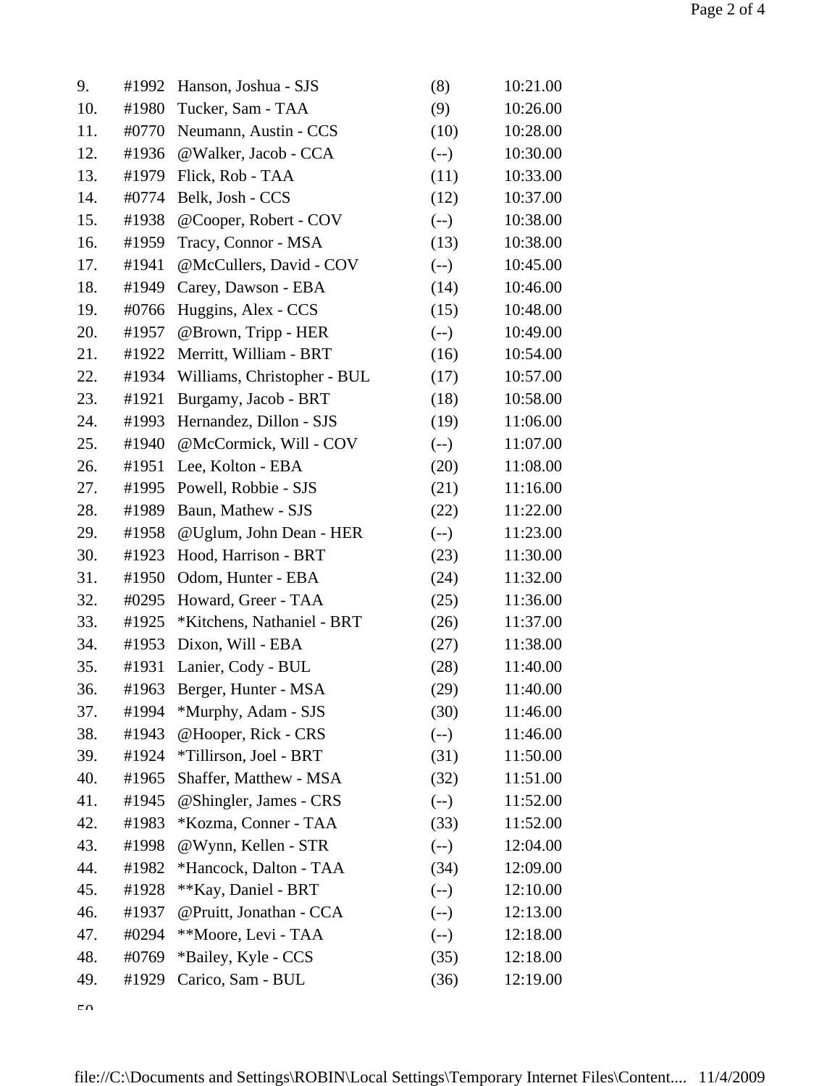| 9.  | #1992 | Hanson, Joshua - SJS        | (8)    | 10:21.00 |
|-----|-------|-----------------------------|--------|----------|
| 10. | #1980 | Tucker, Sam - TAA           | (9)    | 10:26.00 |
| 11. | #0770 | Neumann, Austin - CCS       | (10)   | 10:28.00 |
| 12. | #1936 | @Walker, Jacob - CCA        | $(-)$  | 10:30.00 |
| 13. | #1979 | Flick, Rob - TAA            | (11)   | 10:33.00 |
| 14. | #0774 | Belk, Josh - CCS            | (12)   | 10:37.00 |
| 15. | #1938 | @Cooper, Robert - COV       | $(-)$  | 10:38.00 |
| 16. | #1959 | Tracy, Connor - MSA         | (13)   | 10:38.00 |
| 17. | #1941 | @McCullers, David - COV     | $(-)$  | 10:45.00 |
| 18. | #1949 | Carey, Dawson - EBA         | (14)   | 10:46.00 |
| 19. | #0766 | Huggins, Alex - CCS         | (15)   | 10:48.00 |
| 20. | #1957 | @Brown, Tripp - HER         | $(--)$ | 10:49.00 |
| 21. | #1922 | Merritt, William - BRT      | (16)   | 10:54.00 |
| 22. | #1934 | Williams, Christopher - BUL | (17)   | 10:57.00 |
| 23. | #1921 | Burgamy, Jacob - BRT        | (18)   | 10:58.00 |
| 24. | #1993 | Hernandez, Dillon - SJS     | (19)   | 11:06.00 |
| 25. | #1940 | @McCormick, Will - COV      | $(-)$  | 11:07.00 |
| 26. | #1951 | Lee, Kolton - EBA           | (20)   | 11:08.00 |
| 27. | #1995 | Powell, Robbie - SJS        | (21)   | 11:16.00 |
| 28. | #1989 | Baun, Mathew - SJS          | (22)   | 11:22.00 |
| 29. | #1958 | @Uglum, John Dean - HER     | $(-)$  | 11:23.00 |
| 30. | #1923 | Hood, Harrison - BRT        | (23)   | 11:30.00 |
| 31. | #1950 | Odom, Hunter - EBA          | (24)   | 11:32.00 |
| 32. | #0295 | Howard, Greer - TAA         | (25)   | 11:36.00 |
| 33. | #1925 | *Kitchens, Nathaniel - BRT  | (26)   | 11:37.00 |
| 34. |       | $#1953$ Dixon, Will - EBA   | (27)   | 11:38.00 |
| 35. | #1931 | Lanier, Cody - BUL          | (28)   | 11:40.00 |
| 36. | #1963 | Berger, Hunter - MSA        | (29)   | 11:40.00 |
| 37. | #1994 | *Murphy, Adam - SJS         | (30)   | 11:46.00 |
| 38. | #1943 | @Hooper, Rick - CRS         | $(--)$ | 11:46.00 |
| 39. | #1924 | *Tillirson, Joel - BRT      | (31)   | 11:50.00 |
| 40. | #1965 | Shaffer, Matthew - MSA      | (32)   | 11:51.00 |
| 41. | #1945 | @Shingler, James - CRS      | $(-)$  | 11:52.00 |
| 42. | #1983 | *Kozma, Conner - TAA        | (33)   | 11:52.00 |
| 43. | #1998 | @Wynn, Kellen - STR         | $(--)$ | 12:04.00 |
| 44. | #1982 | *Hancock, Dalton - TAA      | (34)   | 12:09.00 |
| 45. | #1928 | **Kay, Daniel - BRT         | $(--)$ | 12:10.00 |
| 46. | #1937 | @Pruitt, Jonathan - CCA     | $(--)$ | 12:13.00 |
| 47. | #0294 | **Moore, Levi - TAA         | $(-)$  | 12:18.00 |
| 48. | #0769 | *Bailey, Kyle - CCS         | (35)   | 12:18.00 |
| 49. | #1929 | Carico, Sam - BUL           | (36)   | 12:19.00 |

 $\epsilon$ 0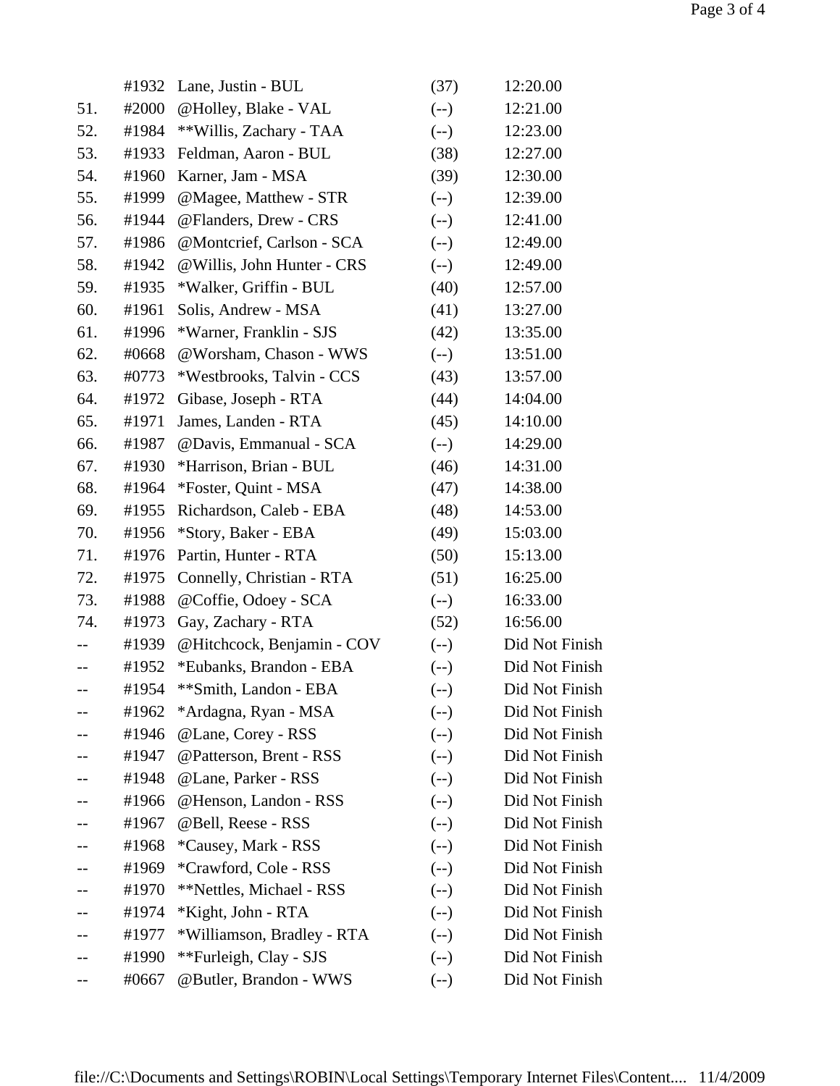|     | #1932 | Lane, Justin - BUL          | (37)   | 12:20.00       |
|-----|-------|-----------------------------|--------|----------------|
| 51. | #2000 | @Holley, Blake - VAL        | $(-)$  | 12:21.00       |
| 52. | #1984 | **Willis, Zachary - TAA     | $(--)$ | 12:23.00       |
| 53. | #1933 | Feldman, Aaron - BUL        | (38)   | 12:27.00       |
| 54. | #1960 | Karner, Jam - MSA           | (39)   | 12:30.00       |
| 55. | #1999 | @Magee, Matthew - STR       | $(--)$ | 12:39.00       |
| 56. | #1944 | @Flanders, Drew - CRS       | $(--)$ | 12:41.00       |
| 57. | #1986 | @Montcrief, Carlson - SCA   | $(--)$ | 12:49.00       |
| 58. | #1942 | @ Willis, John Hunter - CRS | $(-)$  | 12:49.00       |
| 59. | #1935 | *Walker, Griffin - BUL      | (40)   | 12:57.00       |
| 60. | #1961 | Solis, Andrew - MSA         | (41)   | 13:27.00       |
| 61. | #1996 | *Warner, Franklin - SJS     | (42)   | 13:35.00       |
| 62. | #0668 | @Worsham, Chason - WWS      | $(--)$ | 13:51.00       |
| 63. | #0773 | *Westbrooks, Talvin - CCS   | (43)   | 13:57.00       |
| 64. | #1972 | Gibase, Joseph - RTA        | (44)   | 14:04.00       |
| 65. | #1971 | James, Landen - RTA         | (45)   | 14:10.00       |
| 66. | #1987 | @Davis, Emmanual - SCA      | $(--)$ | 14:29.00       |
| 67. | #1930 | *Harrison, Brian - BUL      | (46)   | 14:31.00       |
| 68. | #1964 | *Foster, Quint - MSA        | (47)   | 14:38.00       |
| 69. | #1955 | Richardson, Caleb - EBA     | (48)   | 14:53.00       |
| 70. | #1956 | *Story, Baker - EBA         | (49)   | 15:03.00       |
| 71. | #1976 | Partin, Hunter - RTA        | (50)   | 15:13.00       |
| 72. | #1975 | Connelly, Christian - RTA   | (51)   | 16:25.00       |
| 73. | #1988 | @Coffie, Odoey - SCA        | $(--)$ | 16:33.00       |
| 74. | #1973 | Gay, Zachary - RTA          | (52)   | 16:56.00       |
|     | #1939 | @Hitchcock, Benjamin - COV  | $(--)$ | Did Not Finish |
| $-$ | #1952 | *Eubanks, Brandon - EBA     | $(-)$  | Did Not Finish |
| --  | #1954 | **Smith, Landon - EBA       | $(--)$ | Did Not Finish |
|     | #1962 | *Ardagna, Ryan - MSA        | $(-)$  | Did Not Finish |
|     | #1946 | @Lane, Corey - RSS          | $(-)$  | Did Not Finish |
|     | #1947 | @Patterson, Brent - RSS     | $(-)$  | Did Not Finish |
|     | #1948 | @Lane, Parker - RSS         | $(-)$  | Did Not Finish |
|     | #1966 | @Henson, Landon - RSS       | $(--)$ | Did Not Finish |
|     | #1967 | @Bell, Reese - RSS          | $(-)$  | Did Not Finish |
|     | #1968 | *Causey, Mark - RSS         | $(-)$  | Did Not Finish |
|     | #1969 | *Crawford, Cole - RSS       | $(--)$ | Did Not Finish |
|     | #1970 | **Nettles, Michael - RSS    | $(-)$  | Did Not Finish |
|     | #1974 | *Kight, John - RTA          | $(-)$  | Did Not Finish |
|     | #1977 | *Williamson, Bradley - RTA  | $(-)$  | Did Not Finish |
|     | #1990 | **Furleigh, Clay - SJS      | $(--)$ | Did Not Finish |
| $-$ | #0667 | @Butler, Brandon - WWS      | $(-)$  | Did Not Finish |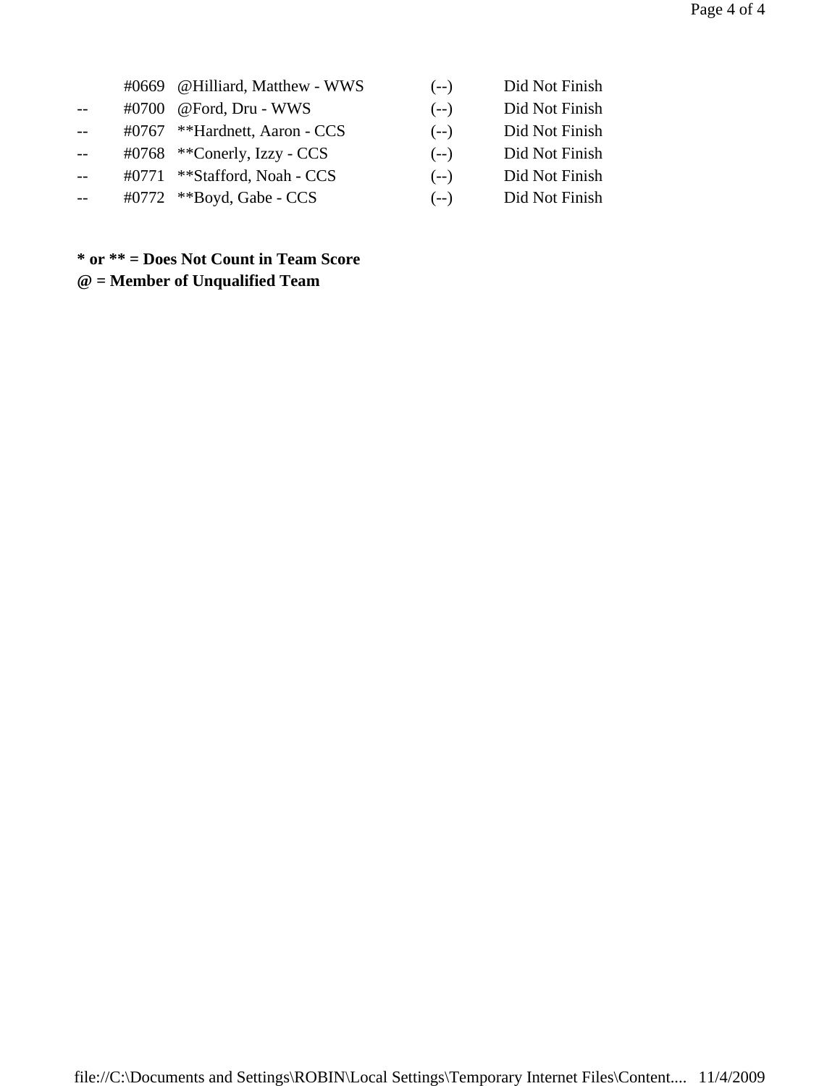|  | #0669 @Hilliard, Matthew - WWS             |
|--|--------------------------------------------|
|  | #0700 @Ford, Dru - WWS                     |
|  | #0767 **Hardnett, Aaron - CCS              |
|  | #0768 $*$ <sup>*</sup> Conerly, Izzy - CCS |
|  | #0771 ** Stafford, Noah - CCS              |

- -- #0772 \*\*Boyd, Gabe CCS (--) Did Not Finish
- (--) Did Not Finish
- (--) Did Not Finish
- (--) Did Not Finish
- (--) Did Not Finish
- (--) Did Not Finish
	-

# **\* or \*\* = Does Not Count in Team Score @ = Member of Unqualified Team**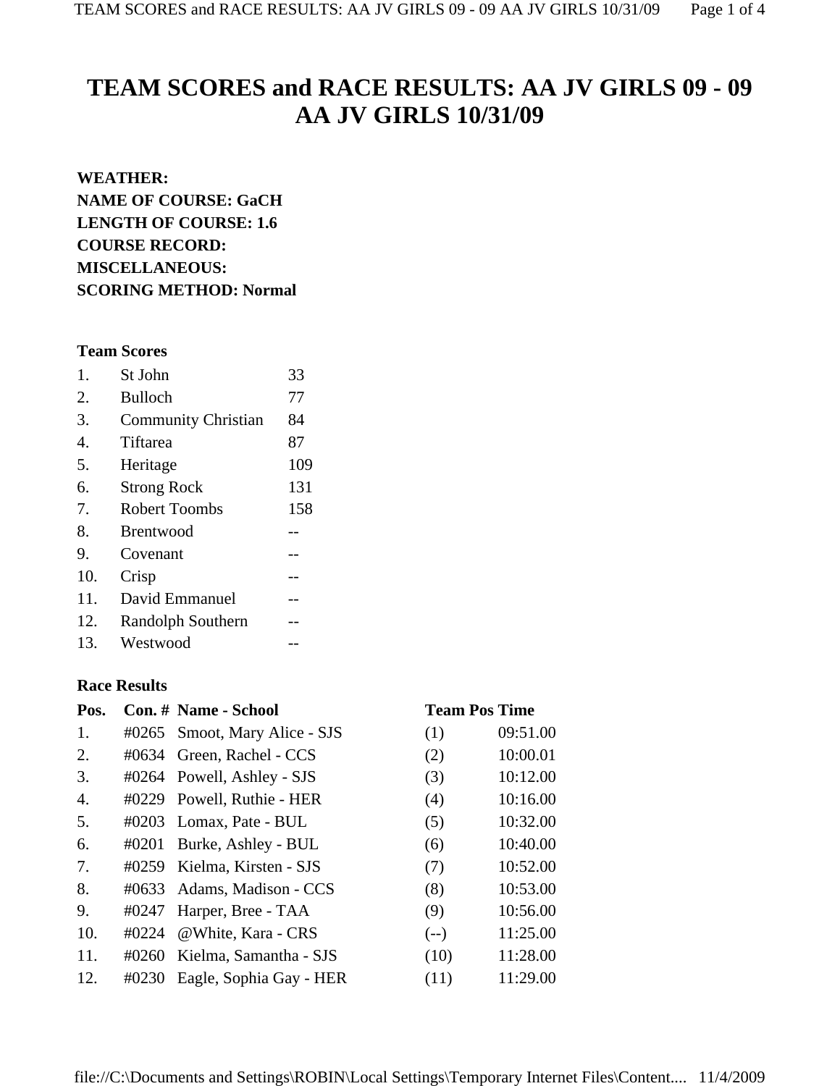# **TEAM SCORES and RACE RESULTS: AA JV GIRLS 09 - 09 AA JV GIRLS 10/31/09**

# **WEATHER: NAME OF COURSE: GaCH LENGTH OF COURSE: 1.6 COURSE RECORD: MISCELLANEOUS: SCORING METHOD: Normal**

## **Team Scores**

| 1.  | St John                    | 33  |
|-----|----------------------------|-----|
| 2.  | <b>Bulloch</b>             | 77  |
| 3.  | <b>Community Christian</b> | 84  |
| 4.  | Tiftarea                   | 87  |
| 5.  | Heritage                   | 109 |
| 6.  | <b>Strong Rock</b>         | 131 |
| 7.  | <b>Robert Toombs</b>       | 158 |
| 8.  | <b>Brentwood</b>           |     |
| 9.  | Covenant                   |     |
| 10. | Crisp                      |     |
| 11. | David Emmanuel             |     |
| 12. | Randolph Southern          |     |
| 13. | Westwood                   |     |

### **Race Results**

| Pos. |       | Con. # Name - School          | <b>Team Pos Time</b> |          |
|------|-------|-------------------------------|----------------------|----------|
| 1.   |       | #0265 Smoot, Mary Alice - SJS | (1)                  | 09:51.00 |
| 2.   |       | #0634 Green, Rachel - CCS     | (2)                  | 10:00.01 |
| 3.   |       | #0264 Powell, Ashley - SJS    | (3)                  | 10:12.00 |
| 4.   |       | #0229 Powell, Ruthie - HER    | (4)                  | 10:16.00 |
| 5.   |       | #0203 Lomax, Pate - BUL       | (5)                  | 10:32.00 |
| 6.   | #0201 | Burke, Ashley - BUL           | (6)                  | 10:40.00 |
| 7.   |       | #0259 Kielma, Kirsten - SJS   | (7)                  | 10:52.00 |
| 8.   |       | #0633 Adams, Madison - CCS    | (8)                  | 10:53.00 |
| 9.   | #0247 | Harper, Bree - TAA            | (9)                  | 10:56.00 |
| 10.  | #0224 | @White, Kara - CRS            | $(--)$               | 11:25.00 |
| 11.  |       | #0260 Kielma, Samantha - SJS  | (10)                 | 11:28.00 |
| 12.  | #0230 | Eagle, Sophia Gay - HER       | (11)                 | 11:29.00 |

### file://C:\Documents and Settings\ROBIN\Local Settings\Temporary Internet Files\Content.... 11/4/2009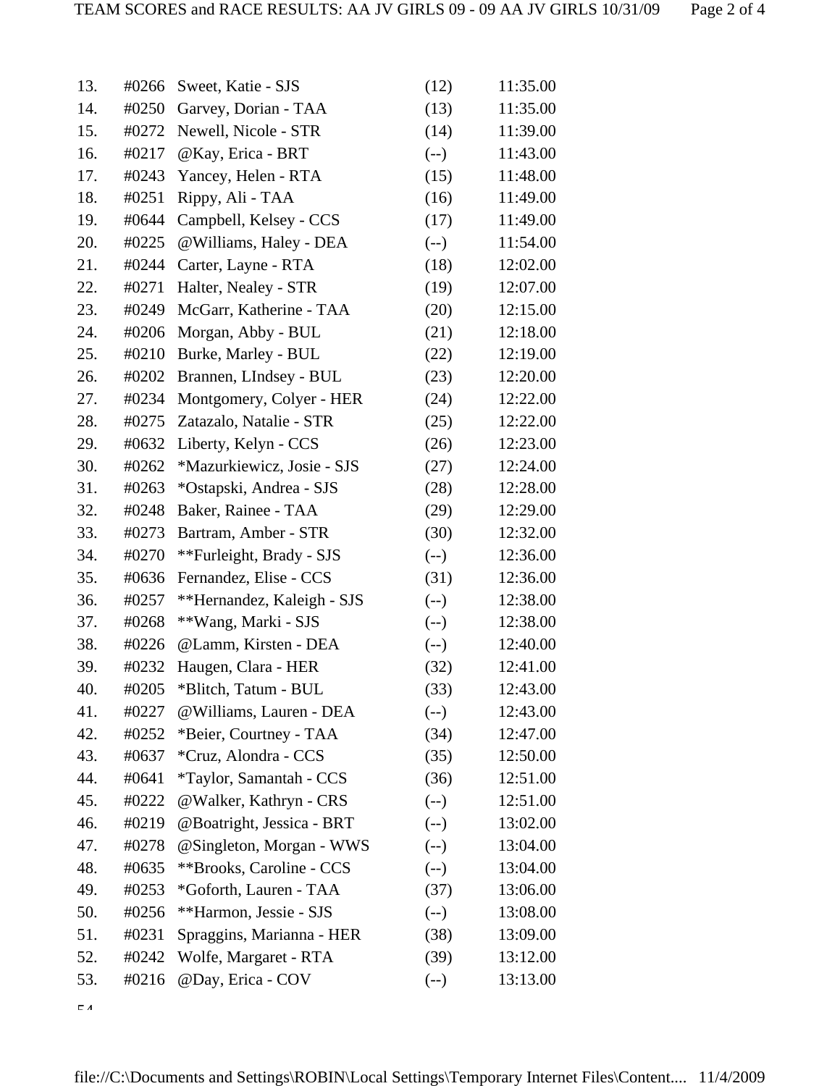| 13. | #0266 | Sweet, Katie - SJS             | (12)   | 11:35.00 |
|-----|-------|--------------------------------|--------|----------|
| 14. | #0250 | Garvey, Dorian - TAA           | (13)   | 11:35.00 |
| 15. | #0272 | Newell, Nicole - STR           | (14)   | 11:39.00 |
| 16. | #0217 | @Kay, Erica - BRT              | $(--)$ | 11:43.00 |
| 17. | #0243 | Yancey, Helen - RTA            | (15)   | 11:48.00 |
| 18. | #0251 | Rippy, Ali - TAA               | (16)   | 11:49.00 |
| 19. | #0644 | Campbell, Kelsey - CCS         | (17)   | 11:49.00 |
| 20. | #0225 | @Williams, Haley - DEA         | $(--)$ | 11:54.00 |
| 21. | #0244 | Carter, Layne - RTA            | (18)   | 12:02.00 |
| 22. | #0271 | Halter, Nealey - STR           | (19)   | 12:07.00 |
| 23. | #0249 | McGarr, Katherine - TAA        | (20)   | 12:15.00 |
| 24. | #0206 | Morgan, Abby - BUL             | (21)   | 12:18.00 |
| 25. | #0210 | Burke, Marley - BUL            | (22)   | 12:19.00 |
| 26. | #0202 | Brannen, LIndsey - BUL         | (23)   | 12:20.00 |
| 27. | #0234 | Montgomery, Colyer - HER       | (24)   | 12:22.00 |
| 28. | #0275 | Zatazalo, Natalie - STR        | (25)   | 12:22.00 |
| 29. | #0632 | Liberty, Kelyn - CCS           | (26)   | 12:23.00 |
| 30. | #0262 | *Mazurkiewicz, Josie - SJS     | (27)   | 12:24.00 |
| 31. | #0263 | *Ostapski, Andrea - SJS        | (28)   | 12:28.00 |
| 32. | #0248 | Baker, Rainee - TAA            | (29)   | 12:29.00 |
| 33. | #0273 | Bartram, Amber - STR           | (30)   | 12:32.00 |
| 34. | #0270 | **Furleight, Brady - SJS       | $(-)$  | 12:36.00 |
| 35. | #0636 | Fernandez, Elise - CCS         | (31)   | 12:36.00 |
| 36. | #0257 | **Hernandez, Kaleigh - SJS     | $(-)$  | 12:38.00 |
| 37. | #0268 | **Wang, Marki - SJS            | $(--)$ | 12:38.00 |
| 38. | #0226 | @Lamm, Kirsten - DEA           | $(--)$ | 12:40.00 |
| 39. | #0232 | Haugen, Clara - HER            | (32)   | 12:41.00 |
| 40. | #0205 | *Blitch, Tatum - BUL           | (33)   | 12:43.00 |
| 41. | #0227 | @Williams, Lauren - DEA        | $(-)$  | 12:43.00 |
| 42. | #0252 | *Beier, Courtney - TAA         | (34)   | 12:47.00 |
| 43. | #0637 | *Cruz, Alondra - CCS           | (35)   | 12:50.00 |
| 44. | #0641 | <i>*Taylor, Samantah - CCS</i> | (36)   | 12:51.00 |
| 45. | #0222 | @Walker, Kathryn - CRS         | $(--)$ | 12:51.00 |
| 46. | #0219 | @Boatright, Jessica - BRT      | $(-)$  | 13:02.00 |
| 47. | #0278 | @Singleton, Morgan - WWS       | $(-)$  | 13:04.00 |
| 48. | #0635 | **Brooks, Caroline - CCS       | $(-)$  | 13:04.00 |
| 49. | #0253 | *Goforth, Lauren - TAA         | (37)   | 13:06.00 |
| 50. | #0256 | **Harmon, Jessie - SJS         | $(-)$  | 13:08.00 |
| 51. | #0231 | Spraggins, Marianna - HER      | (38)   | 13:09.00 |
| 52. | #0242 | Wolfe, Margaret - RTA          | (39)   | 13:12.00 |
| 53. | #0216 | @Day, Erica - COV              | $(--)$ | 13:13.00 |

 $\epsilon$ <sub>4</sub>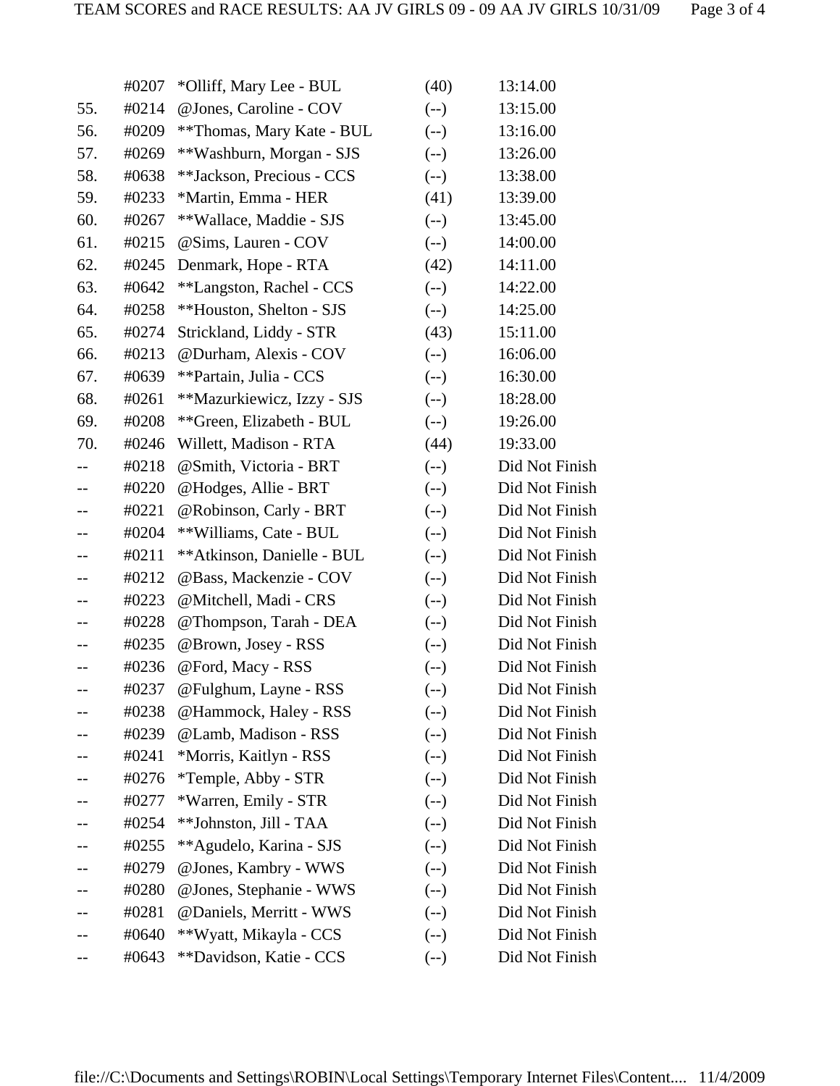|                   | #0207 | *Olliff, Mary Lee - BUL    | (40)   | 13:14.00       |
|-------------------|-------|----------------------------|--------|----------------|
| 55.               | #0214 | @ Jones, Caroline - COV    | $(-)$  | 13:15.00       |
| 56.               | #0209 | **Thomas, Mary Kate - BUL  | $(-)$  | 13:16.00       |
| 57.               | #0269 | **Washburn, Morgan - SJS   | $(-)$  | 13:26.00       |
| 58.               | #0638 | **Jackson, Precious - CCS  | $(--)$ | 13:38.00       |
| 59.               | #0233 | *Martin, Emma - HER        | (41)   | 13:39.00       |
| 60.               | #0267 | **Wallace, Maddie - SJS    | $(-)$  | 13:45.00       |
| 61.               | #0215 | @Sims, Lauren - COV        | $(-)$  | 14:00.00       |
| 62.               | #0245 | Denmark, Hope - RTA        | (42)   | 14:11.00       |
| 63.               | #0642 | **Langston, Rachel - CCS   | $(-)$  | 14:22.00       |
| 64.               | #0258 | **Houston, Shelton - SJS   | $(-)$  | 14:25.00       |
| 65.               | #0274 | Strickland, Liddy - STR    | (43)   | 15:11.00       |
| 66.               | #0213 | @Durham, Alexis - COV      | $(-)$  | 16:06.00       |
| 67.               | #0639 | **Partain, Julia - CCS     | $(-)$  | 16:30.00       |
| 68.               | #0261 | **Mazurkiewicz, Izzy - SJS | $(-)$  | 18:28.00       |
| 69.               | #0208 | **Green, Elizabeth - BUL   | $(-)$  | 19:26.00       |
| 70.               | #0246 | Willett, Madison - RTA     | (44)   | 19:33.00       |
|                   | #0218 | @Smith, Victoria - BRT     | $(-)$  | Did Not Finish |
|                   | #0220 | @Hodges, Allie - BRT       | $(-)$  | Did Not Finish |
|                   | #0221 | @Robinson, Carly - BRT     | $(-)$  | Did Not Finish |
|                   | #0204 | **Williams, Cate - BUL     | $(-)$  | Did Not Finish |
|                   | #0211 | **Atkinson, Danielle - BUL | $(-)$  | Did Not Finish |
|                   | #0212 | @Bass, Mackenzie - COV     | $(-)$  | Did Not Finish |
| $- -$             | #0223 | @Mitchell, Madi - CRS      | $(-)$  | Did Not Finish |
|                   | #0228 | @Thompson, Tarah - DEA     | $(-)$  | Did Not Finish |
|                   | #0235 | @Brown, Josey - RSS        | $(-)$  | Did Not Finish |
| $\qquad \qquad -$ | #0236 | @Ford, Macy - RSS          | $(-)$  | Did Not Finish |
|                   | #0237 | @Fulghum, Layne - RSS      | $(-)$  | Did Not Finish |
|                   | #0238 | @Hammock, Haley - RSS      | $(-)$  | Did Not Finish |
|                   | #0239 | @Lamb, Madison - RSS       | $(-)$  | Did Not Finish |
|                   | #0241 | *Morris, Kaitlyn - RSS     | $(-)$  | Did Not Finish |
|                   | #0276 | *Temple, Abby - STR        | $(-)$  | Did Not Finish |
|                   | #0277 | *Warren, Emily - STR       | $(-)$  | Did Not Finish |
|                   | #0254 | **Johnston, Jill - TAA     | $(-)$  | Did Not Finish |
|                   | #0255 | **Agudelo, Karina - SJS    | $(-)$  | Did Not Finish |
|                   | #0279 | @Jones, Kambry - WWS       | $(-)$  | Did Not Finish |
|                   | #0280 | @Jones, Stephanie - WWS    | $(-)$  | Did Not Finish |
|                   | #0281 | @Daniels, Merritt - WWS    | $(--)$ | Did Not Finish |
|                   | #0640 | **Wyatt, Mikayla - CCS     | $(-)$  | Did Not Finish |
| --                | #0643 | **Davidson, Katie - CCS    | $(-)$  | Did Not Finish |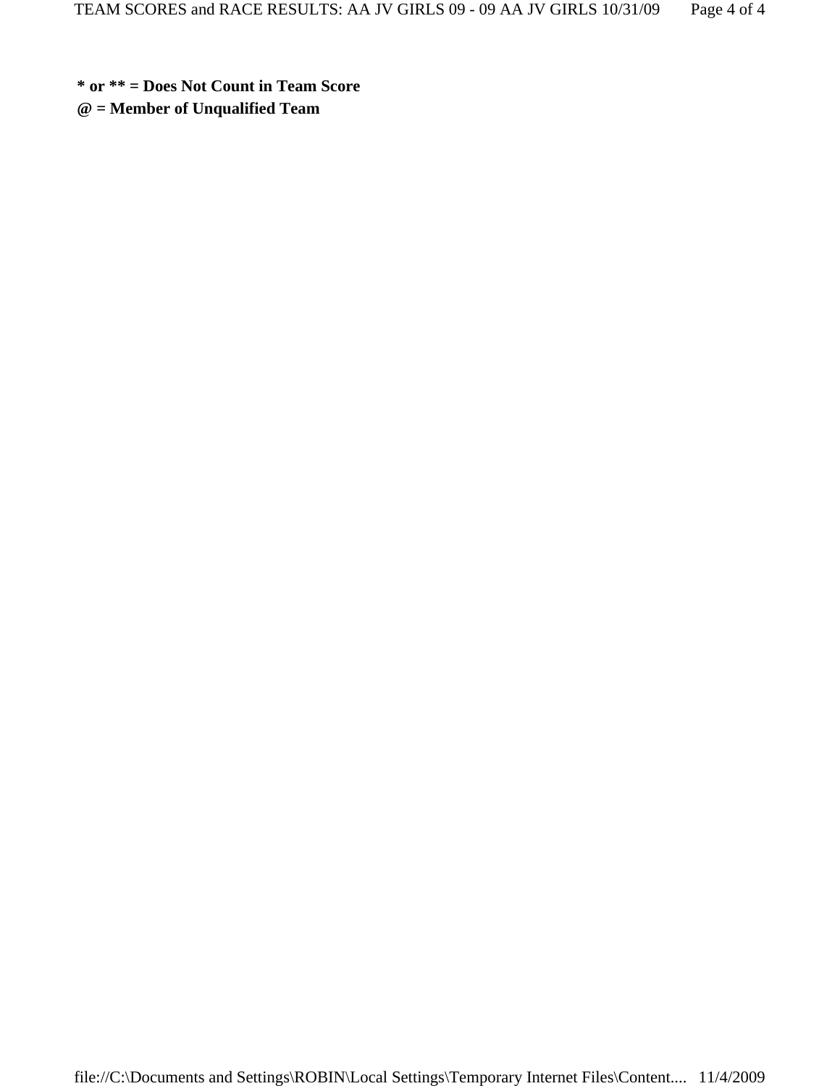**\* or \*\* = Does Not Count in Team Score**

**@ = Member of Unqualified Team**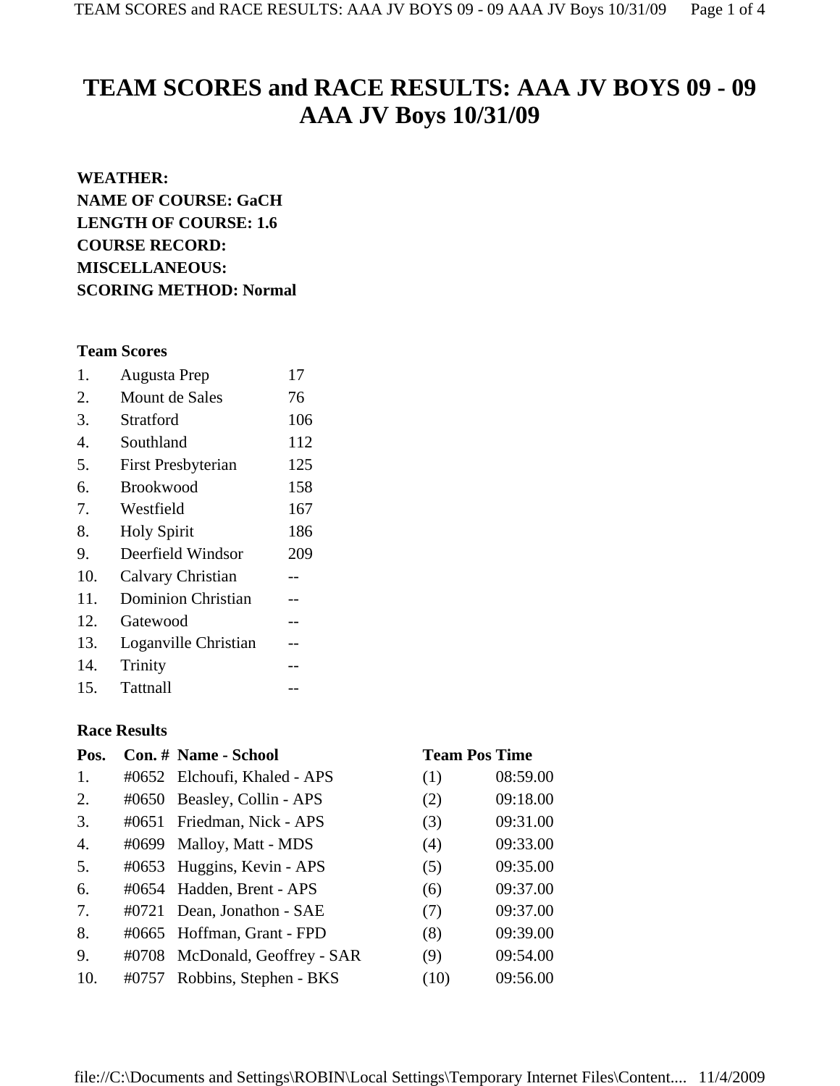# **TEAM SCORES and RACE RESULTS: AAA JV BOYS 09 - 09 AAA JV Boys 10/31/09**

## **WEATHER:**

**NAME OF COURSE: GaCH LENGTH OF COURSE: 1.6 COURSE RECORD: MISCELLANEOUS: SCORING METHOD: Normal**

# **Team Scores**

| 1.  | <b>Augusta Prep</b>       | 17  |
|-----|---------------------------|-----|
| 2.  | Mount de Sales            | 76  |
| 3.  | Stratford                 | 106 |
| 4.  | Southland                 | 112 |
| 5.  | <b>First Presbyterian</b> | 125 |
| 6.  | <b>Brookwood</b>          | 158 |
| 7.  | Westfield                 | 167 |
| 8.  | <b>Holy Spirit</b>        | 186 |
| 9.  | Deerfield Windsor         | 209 |
| 10. | <b>Calvary Christian</b>  | --  |
| 11. | <b>Dominion Christian</b> |     |
| 12. | Gatewood                  |     |
| 13. | Loganville Christian      | --  |
| 14. | Trinity                   |     |

15. Tattnall

# **Race Results**

| Pos. | Con. # Name - School           |      | <b>Team Pos Time</b> |
|------|--------------------------------|------|----------------------|
| 1.   | #0652 Elchoufi, Khaled - APS   | (1)  | 08:59.00             |
| 2.   | #0650 Beasley, Collin - APS    | (2)  | 09:18.00             |
| 3.   | #0651 Friedman, Nick - APS     | (3)  | 09:31.00             |
| 4.   | #0699 Malloy, Matt - MDS       | (4)  | 09:33.00             |
| 5.   | #0653 Huggins, Kevin - APS     | (5)  | 09:35.00             |
| 6.   | #0654 Hadden, Brent - APS      | (6)  | 09:37.00             |
| 7.   | #0721 Dean, Jonathon - SAE     | (7)  | 09:37.00             |
| 8.   | #0665 Hoffman, Grant - FPD     | (8)  | 09:39.00             |
| 9.   | #0708 McDonald, Geoffrey - SAR | (9)  | 09:54.00             |
| 10.  | #0757 Robbins, Stephen - BKS   | (10) | 09:56.00             |

### file://C:\Documents and Settings\ROBIN\Local Settings\Temporary Internet Files\Content.... 11/4/2009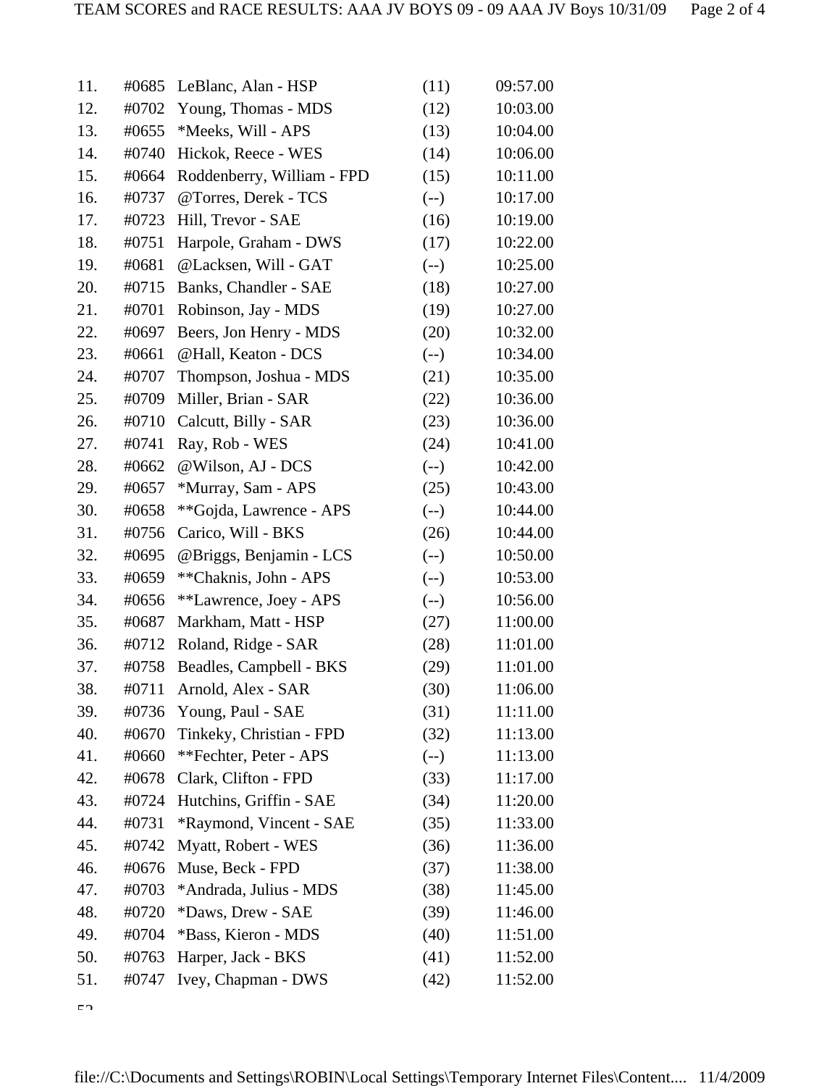| 11. | #0685 | LeBlanc, Alan - HSP        | (11)   | 09:57.00 |
|-----|-------|----------------------------|--------|----------|
| 12. | #0702 | Young, Thomas - MDS        | (12)   | 10:03.00 |
| 13. | #0655 | *Meeks, Will - APS         | (13)   | 10:04.00 |
| 14. | #0740 | Hickok, Reece - WES        | (14)   | 10:06.00 |
| 15. | #0664 | Roddenberry, William - FPD | (15)   | 10:11.00 |
| 16. | #0737 | @Torres, Derek - TCS       | $(-)$  | 10:17.00 |
| 17. | #0723 | Hill, Trevor - SAE         | (16)   | 10:19.00 |
| 18. | #0751 | Harpole, Graham - DWS      | (17)   | 10:22.00 |
| 19. | #0681 | @Lacksen, Will - GAT       | $(-)$  | 10:25.00 |
| 20. | #0715 | Banks, Chandler - SAE      | (18)   | 10:27.00 |
| 21. | #0701 | Robinson, Jay - MDS        | (19)   | 10:27.00 |
| 22. | #0697 | Beers, Jon Henry - MDS     | (20)   | 10:32.00 |
| 23. | #0661 | @Hall, Keaton - DCS        | $(-)$  | 10:34.00 |
| 24. | #0707 | Thompson, Joshua - MDS     | (21)   | 10:35.00 |
| 25. | #0709 | Miller, Brian - SAR        | (22)   | 10:36.00 |
| 26. | #0710 | Calcutt, Billy - SAR       | (23)   | 10:36.00 |
| 27. | #0741 | Ray, Rob - WES             | (24)   | 10:41.00 |
| 28. | #0662 | @Wilson, AJ - DCS          | $(-)$  | 10:42.00 |
| 29. | #0657 | *Murray, Sam - APS         | (25)   | 10:43.00 |
| 30. | #0658 | **Gojda, Lawrence - APS    | $(-)$  | 10:44.00 |
| 31. | #0756 | Carico, Will - BKS         | (26)   | 10:44.00 |
| 32. | #0695 | @Briggs, Benjamin - LCS    | $(--)$ | 10:50.00 |
| 33. | #0659 | **Chaknis, John - APS      | $(-)$  | 10:53.00 |
| 34. | #0656 | **Lawrence, Joey - APS     | $(--)$ | 10:56.00 |
| 35. | #0687 | Markham, Matt - HSP        | (27)   | 11:00.00 |
| 36. | #0712 | Roland, Ridge - SAR        | (28)   | 11:01.00 |
| 37. | #0758 | Beadles, Campbell - BKS    | (29)   | 11:01.00 |
| 38. |       | #0711 Arnold, Alex - SAR   | (30)   | 11:06.00 |
| 39. | #0736 | Young, Paul - SAE          | (31)   | 11:11.00 |
| 40. | #0670 | Tinkeky, Christian - FPD   | (32)   | 11:13.00 |
| 41. | #0660 | **Fechter, Peter - APS     | $(--)$ | 11:13.00 |
| 42. | #0678 | Clark, Clifton - FPD       | (33)   | 11:17.00 |
| 43. | #0724 | Hutchins, Griffin - SAE    | (34)   | 11:20.00 |
| 44. | #0731 | *Raymond, Vincent - SAE    | (35)   | 11:33.00 |
| 45. | #0742 | Myatt, Robert - WES        | (36)   | 11:36.00 |
| 46. | #0676 | Muse, Beck - FPD           | (37)   | 11:38.00 |
| 47. | #0703 | *Andrada, Julius - MDS     | (38)   | 11:45.00 |
| 48. | #0720 | *Daws, Drew - SAE          | (39)   | 11:46.00 |
| 49. | #0704 | *Bass, Kieron - MDS        | (40)   | 11:51.00 |
| 50. | #0763 | Harper, Jack - BKS         | (41)   | 11:52.00 |
| 51. | #0747 | Ivey, Chapman - DWS        | (42)   | 11:52.00 |

 $52$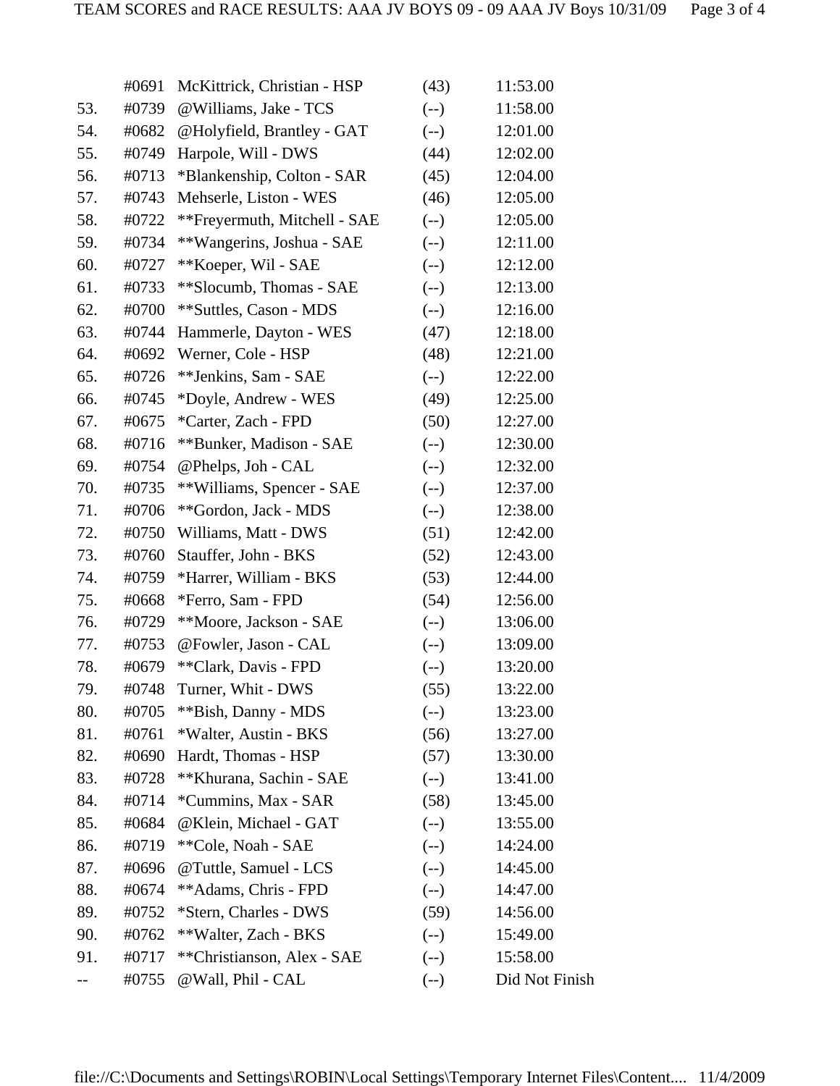|     | #0691 | McKittrick, Christian - HSP  | (43)   | 11:53.00       |
|-----|-------|------------------------------|--------|----------------|
| 53. | #0739 | @Williams, Jake - TCS        | $(-)$  | 11:58.00       |
| 54. | #0682 | @Holyfield, Brantley - GAT   | $(-)$  | 12:01.00       |
| 55. | #0749 | Harpole, Will - DWS          | (44)   | 12:02.00       |
| 56. | #0713 | *Blankenship, Colton - SAR   | (45)   | 12:04.00       |
| 57. | #0743 | Mehserle, Liston - WES       | (46)   | 12:05.00       |
| 58. | #0722 | **Freyermuth, Mitchell - SAE | $(-)$  | 12:05.00       |
| 59. | #0734 | **Wangerins, Joshua - SAE    | $(-)$  | 12:11.00       |
| 60. | #0727 | **Koeper, Wil - SAE          | $(-)$  | 12:12.00       |
| 61. | #0733 | **Slocumb, Thomas - SAE      | $(-)$  | 12:13.00       |
| 62. | #0700 | **Suttles, Cason - MDS       | $(--)$ | 12:16.00       |
| 63. | #0744 | Hammerle, Dayton - WES       | (47)   | 12:18.00       |
| 64. | #0692 | Werner, Cole - HSP           | (48)   | 12:21.00       |
| 65. | #0726 | **Jenkins, Sam - SAE         | $(-)$  | 12:22.00       |
| 66. | #0745 | *Doyle, Andrew - WES         | (49)   | 12:25.00       |
| 67. | #0675 | *Carter, Zach - FPD          | (50)   | 12:27.00       |
| 68. | #0716 | **Bunker, Madison - SAE      | $(-)$  | 12:30.00       |
| 69. | #0754 | @Phelps, Joh - CAL           | $(-)$  | 12:32.00       |
| 70. | #0735 | **Williams, Spencer - SAE    | $(-)$  | 12:37.00       |
| 71. | #0706 | **Gordon, Jack - MDS         | $(--)$ | 12:38.00       |
| 72. | #0750 | Williams, Matt - DWS         | (51)   | 12:42.00       |
| 73. | #0760 | Stauffer, John - BKS         | (52)   | 12:43.00       |
| 74. | #0759 | *Harrer, William - BKS       | (53)   | 12:44.00       |
| 75. | #0668 | *Ferro, Sam - FPD            | (54)   | 12:56.00       |
| 76. | #0729 | **Moore, Jackson - SAE       | $(-)$  | 13:06.00       |
| 77. | #0753 | @Fowler, Jason - CAL         | $(--)$ | 13:09.00       |
| 78. | #0679 | **Clark, Davis - FPD         | $(-)$  | 13:20.00       |
| 79. | #0748 | Turner, Whit - DWS           | (55)   | 13:22.00       |
| 80. | #0705 | **Bish, Danny - MDS          | $(--)$ | 13:23.00       |
| 81. | #0761 | *Walter, Austin - BKS        | (56)   | 13:27.00       |
| 82. | #0690 | Hardt, Thomas - HSP          | (57)   | 13:30.00       |
| 83. | #0728 | **Khurana, Sachin - SAE      | $(--)$ | 13:41.00       |
| 84. | #0714 | *Cummins, Max - SAR          | (58)   | 13:45.00       |
| 85. | #0684 | @Klein, Michael - GAT        | $(--)$ | 13:55.00       |
| 86. | #0719 | **Cole, Noah - SAE           | $(-)$  | 14:24.00       |
| 87. | #0696 | @Tuttle, Samuel - LCS        | $(-)$  | 14:45.00       |
| 88. | #0674 | **Adams, Chris - FPD         | $(-)$  | 14:47.00       |
| 89. | #0752 | *Stern, Charles - DWS        | (59)   | 14:56.00       |
| 90. | #0762 | **Walter, Zach - BKS         | $(--)$ | 15:49.00       |
| 91. | #0717 | **Christianson, Alex - SAE   | $(--)$ | 15:58.00       |
|     | #0755 | @Wall, Phil - CAL            | $(-)$  | Did Not Finish |
|     |       |                              |        |                |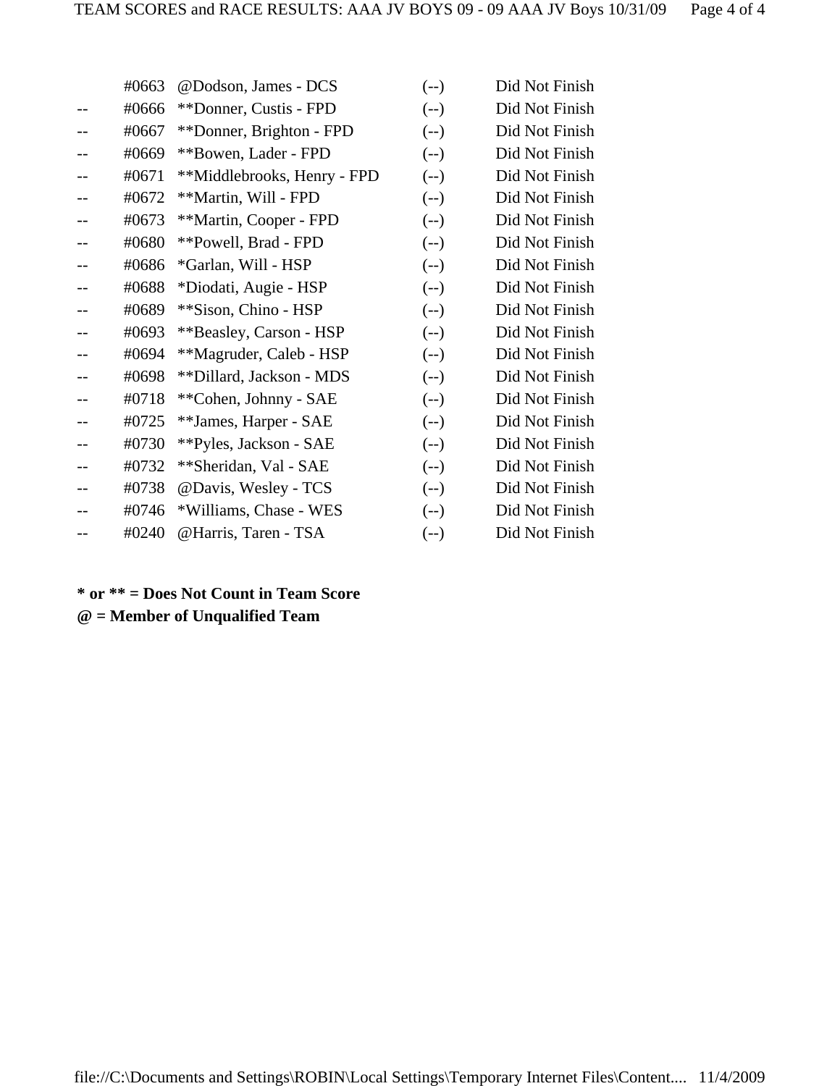| #0663 | @Dodson, James - DCS        | $(-)$  | Did Not Finish |
|-------|-----------------------------|--------|----------------|
| #0666 | **Donner, Custis - FPD      | $(-)$  | Did Not Finish |
| #0667 | **Donner, Brighton - FPD    | $(-)$  | Did Not Finish |
| #0669 | **Bowen, Lader - FPD        | $(-)$  | Did Not Finish |
| #0671 | **Middlebrooks, Henry - FPD | $(-)$  | Did Not Finish |
| #0672 | **Martin, Will - FPD        | $(-)$  | Did Not Finish |
| #0673 | **Martin, Cooper - FPD      | $(-)$  | Did Not Finish |
| #0680 | **Powell, Brad - FPD        | $(-)$  | Did Not Finish |
| #0686 | *Garlan, Will - HSP         | $(-)$  | Did Not Finish |
| #0688 | *Diodati, Augie - HSP       | $(-)$  | Did Not Finish |
| #0689 | **Sison, Chino - HSP        | $(-)$  | Did Not Finish |
| #0693 | **Beasley, Carson - HSP     | $(-)$  | Did Not Finish |
| #0694 | **Magruder, Caleb - HSP     | $(--)$ | Did Not Finish |
| #0698 | **Dillard, Jackson - MDS    | $(--)$ | Did Not Finish |
| #0718 | **Cohen, Johnny - SAE       | $(-)$  | Did Not Finish |
| #0725 | **James, Harper - SAE       | $(-)$  | Did Not Finish |
| #0730 | **Pyles, Jackson - SAE      | $(--)$ | Did Not Finish |
| #0732 | **Sheridan, Val - SAE       | $(-)$  | Did Not Finish |
| #0738 | @Davis, Wesley - TCS        | $(-)$  | Did Not Finish |
| #0746 | *Williams, Chase - WES      | $(-)$  | Did Not Finish |
| #0240 | @Harris, Taren - TSA        | $(-)$  | Did Not Finish |
|       |                             |        |                |

# **\* or \*\* = Does Not Count in Team Score @ = Member of Unqualified Team**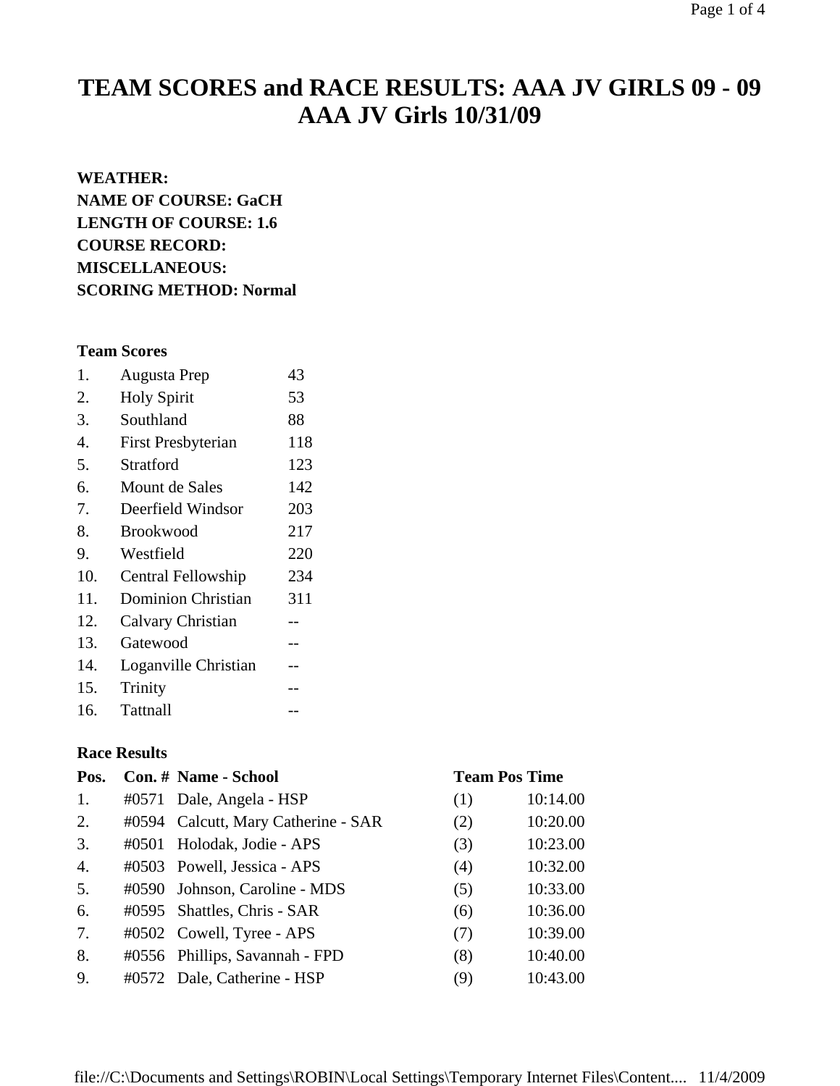# **TEAM SCORES and RACE RESULTS: AAA JV GIRLS 09 - 09 AAA JV Girls 10/31/09**

### **WEATHER:**

**NAME OF COURSE: GaCH LENGTH OF COURSE: 1.6 COURSE RECORD: MISCELLANEOUS: SCORING METHOD: Normal**

## **Team Scores**

| 1.  | <b>Augusta Prep</b>       | 43  |
|-----|---------------------------|-----|
| 2.  | <b>Holy Spirit</b>        | 53  |
| 3.  | Southland                 | 88  |
| 4.  | <b>First Presbyterian</b> | 118 |
| 5.  | Stratford                 | 123 |
| 6.  | Mount de Sales            | 142 |
| 7.  | Deerfield Windsor         | 203 |
| 8.  | <b>Brookwood</b>          | 217 |
| 9.  | Westfield                 | 220 |
| 10. | Central Fellowship        | 234 |
| 11. | <b>Dominion Christian</b> | 311 |
| 12. | Calvary Christian         |     |
| 13. | Gatewood                  |     |
| 14. | Loganville Christian      |     |
| 15. | Trinity                   |     |
| 16. | Tattnall                  |     |

# **Race Results**

| Pos.             | Con. # Name - School                |     | <b>Team Pos Time</b> |
|------------------|-------------------------------------|-----|----------------------|
| 1.               | #0571 Dale, Angela - HSP            | (1) | 10:14.00             |
| 2.               | #0594 Calcutt, Mary Catherine - SAR | (2) | 10:20.00             |
| 3.               | #0501 Holodak, Jodie - APS          | (3) | 10:23.00             |
| $\overline{4}$ . | #0503 Powell, Jessica - APS         | (4) | 10:32.00             |
| 5.               | #0590 Johnson, Caroline - MDS       | (5) | 10:33.00             |
| 6.               | #0595 Shattles, Chris - SAR         | (6) | 10:36.00             |
| 7.               | #0502 Cowell, Tyree - APS           | (7) | 10:39.00             |
| 8.               | #0556 Phillips, Savannah - FPD      | (8) | 10:40.00             |
| 9.               | #0572 Dale, Catherine - HSP         | (9) | 10:43.00             |

## file://C:\Documents and Settings\ROBIN\Local Settings\Temporary Internet Files\Content.... 11/4/2009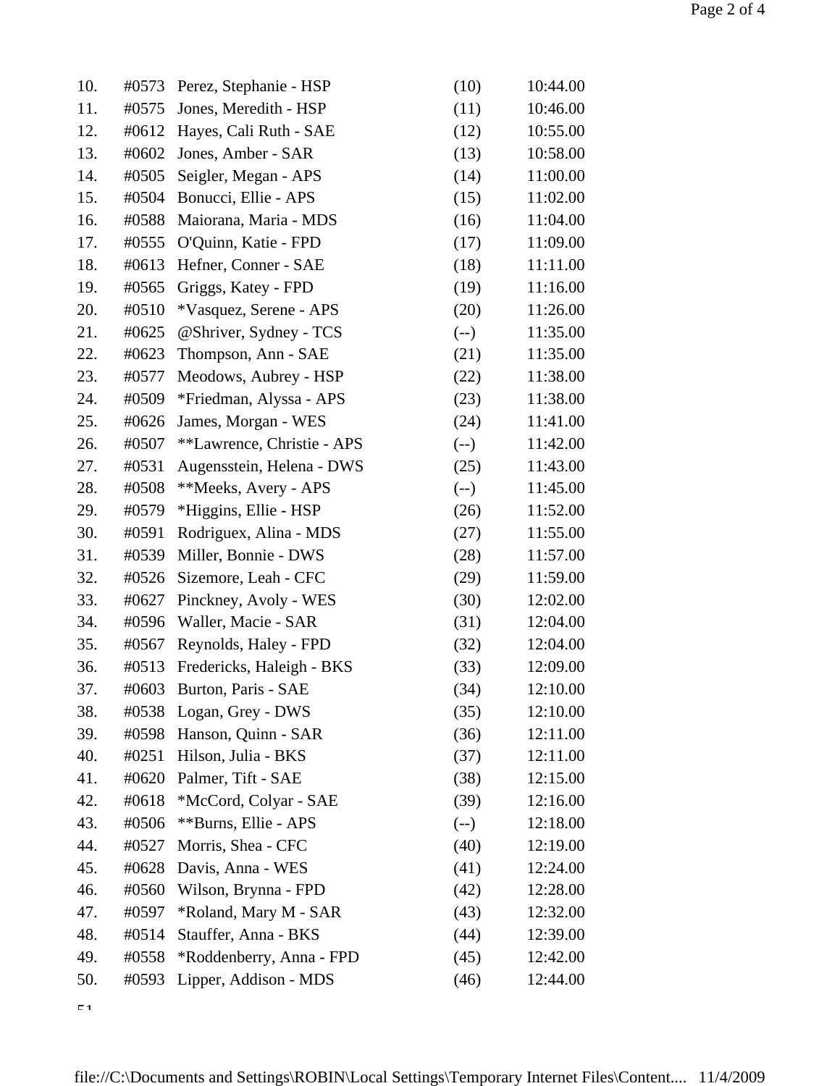| 10. | #0573 | Perez, Stephanie - HSP     | (10)   | 10:44.00 |
|-----|-------|----------------------------|--------|----------|
| 11. | #0575 | Jones, Meredith - HSP      | (11)   | 10:46.00 |
| 12. | #0612 | Hayes, Cali Ruth - SAE     | (12)   | 10:55.00 |
| 13. | #0602 | Jones, Amber - SAR         | (13)   | 10:58.00 |
| 14. | #0505 | Seigler, Megan - APS       | (14)   | 11:00.00 |
| 15. | #0504 | Bonucci, Ellie - APS       | (15)   | 11:02.00 |
| 16. | #0588 | Maiorana, Maria - MDS      | (16)   | 11:04.00 |
| 17. | #0555 | O'Quinn, Katie - FPD       | (17)   | 11:09.00 |
| 18. | #0613 | Hefner, Conner - SAE       | (18)   | 11:11.00 |
| 19. | #0565 | Griggs, Katey - FPD        | (19)   | 11:16.00 |
| 20. | #0510 | *Vasquez, Serene - APS     | (20)   | 11:26.00 |
| 21. | #0625 | @Shriver, Sydney - TCS     | $(--)$ | 11:35.00 |
| 22. | #0623 | Thompson, Ann - SAE        | (21)   | 11:35.00 |
| 23. | #0577 | Meodows, Aubrey - HSP      | (22)   | 11:38.00 |
| 24. | #0509 | *Friedman, Alyssa - APS    | (23)   | 11:38.00 |
| 25. | #0626 | James, Morgan - WES        | (24)   | 11:41.00 |
| 26. | #0507 | **Lawrence, Christie - APS | $(-)$  | 11:42.00 |
| 27. | #0531 | Augensstein, Helena - DWS  | (25)   | 11:43.00 |
| 28. | #0508 | **Meeks, Avery - APS       | $(--)$ | 11:45.00 |
| 29. | #0579 | *Higgins, Ellie - HSP      | (26)   | 11:52.00 |
| 30. | #0591 | Rodriguex, Alina - MDS     | (27)   | 11:55.00 |
| 31. | #0539 | Miller, Bonnie - DWS       | (28)   | 11:57.00 |
| 32. | #0526 | Sizemore, Leah - CFC       | (29)   | 11:59.00 |
| 33. | #0627 | Pinckney, Avoly - WES      | (30)   | 12:02.00 |
| 34. | #0596 | Waller, Macie - SAR        | (31)   | 12:04.00 |
| 35. | #0567 | Reynolds, Haley - FPD      | (32)   | 12:04.00 |
| 36. | #0513 | Fredericks, Haleigh - BKS  | (33)   | 12:09.00 |
| 37. | #0603 | Burton, Paris - SAE        | (34)   | 12:10.00 |
| 38. |       | #0538 Logan, Grey - DWS    | (35)   | 12:10.00 |
| 39. | #0598 | Hanson, Quinn - SAR        | (36)   | 12:11.00 |
| 40. | #0251 | Hilson, Julia - BKS        | (37)   | 12:11.00 |
| 41. | #0620 | Palmer, Tift - SAE         | (38)   | 12:15.00 |
| 42. | #0618 | *McCord, Colyar - SAE      | (39)   | 12:16.00 |
| 43. | #0506 | **Burns, Ellie - APS       | $(-)$  | 12:18.00 |
| 44. | #0527 | Morris, Shea - CFC         | (40)   | 12:19.00 |
| 45. | #0628 | Davis, Anna - WES          | (41)   | 12:24.00 |
| 46. | #0560 | Wilson, Brynna - FPD       | (42)   | 12:28.00 |
| 47. | #0597 | *Roland, Mary M - SAR      | (43)   | 12:32.00 |
| 48. | #0514 | Stauffer, Anna - BKS       | (44)   | 12:39.00 |
| 49. | #0558 | *Roddenberry, Anna - FPD   | (45)   | 12:42.00 |
| 50. | #0593 | Lipper, Addison - MDS      | (46)   | 12:44.00 |

 $\zeta$  1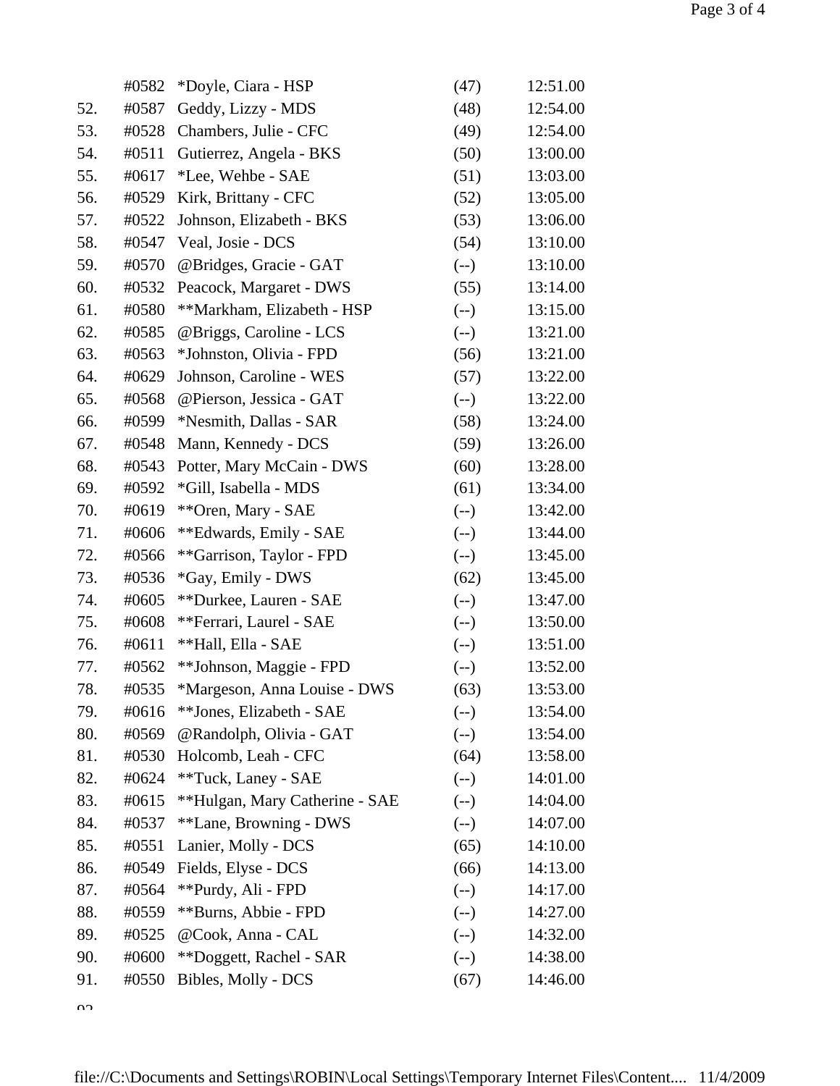|     | #0582 | *Doyle, Ciara - HSP            | (47)   | 12:51.00 |
|-----|-------|--------------------------------|--------|----------|
| 52. | #0587 | Geddy, Lizzy - MDS             | (48)   | 12:54.00 |
| 53. | #0528 | Chambers, Julie - CFC          | (49)   | 12:54.00 |
| 54. | #0511 | Gutierrez, Angela - BKS        | (50)   | 13:00.00 |
| 55. | #0617 | *Lee, Wehbe - SAE              | (51)   | 13:03.00 |
| 56. | #0529 | Kirk, Brittany - CFC           | (52)   | 13:05.00 |
| 57. | #0522 | Johnson, Elizabeth - BKS       | (53)   | 13:06.00 |
| 58. | #0547 | Veal, Josie - DCS              | (54)   | 13:10.00 |
| 59. | #0570 | @Bridges, Gracie - GAT         | $(-)$  | 13:10.00 |
| 60. | #0532 | Peacock, Margaret - DWS        | (55)   | 13:14.00 |
| 61. | #0580 | **Markham, Elizabeth - HSP     | $(--)$ | 13:15.00 |
| 62. | #0585 | @Briggs, Caroline - LCS        | $(-)$  | 13:21.00 |
| 63. | #0563 | *Johnston, Olivia - FPD        | (56)   | 13:21.00 |
| 64. | #0629 | Johnson, Caroline - WES        | (57)   | 13:22.00 |
| 65. | #0568 | @Pierson, Jessica - GAT        | $(--)$ | 13:22.00 |
| 66. | #0599 | *Nesmith, Dallas - SAR         | (58)   | 13:24.00 |
| 67. | #0548 | Mann, Kennedy - DCS            | (59)   | 13:26.00 |
| 68. | #0543 | Potter, Mary McCain - DWS      | (60)   | 13:28.00 |
| 69. | #0592 | *Gill, Isabella - MDS          | (61)   | 13:34.00 |
| 70. | #0619 | ** Oren, Mary - SAE            | $(--)$ | 13:42.00 |
| 71. | #0606 | **Edwards, Emily - SAE         | $(-)$  | 13:44.00 |
| 72. | #0566 | **Garrison, Taylor - FPD       | $(-)$  | 13:45.00 |
| 73. | #0536 | *Gay, Emily - DWS              | (62)   | 13:45.00 |
| 74. | #0605 | **Durkee, Lauren - SAE         | $(-)$  | 13:47.00 |
| 75. | #0608 | **Ferrari, Laurel - SAE        | $(--)$ | 13:50.00 |
| 76. | #0611 | **Hall, Ella - SAE             | $(--)$ | 13:51.00 |
| 77. | #0562 | **Johnson, Maggie - FPD        | $(-)$  | 13:52.00 |
| 78. | #0535 | *Margeson, Anna Louise - DWS   | (63)   | 13:53.00 |
| 79. | #0616 | **Jones, Elizabeth - SAE       | $(-)$  | 13:54.00 |
| 80. | #0569 | @Randolph, Olivia - GAT        | $(-)$  | 13:54.00 |
| 81. | #0530 | Holcomb, Leah - CFC            | (64)   | 13:58.00 |
| 82. | #0624 | **Tuck, Laney - SAE            | $(-)$  | 14:01.00 |
| 83. | #0615 | **Hulgan, Mary Catherine - SAE | $(--)$ | 14:04.00 |
| 84. | #0537 | **Lane, Browning - DWS         | $(-)$  | 14:07.00 |
| 85. | #0551 | Lanier, Molly - DCS            | (65)   | 14:10.00 |
| 86. | #0549 | Fields, Elyse - DCS            | (66)   | 14:13.00 |
| 87. | #0564 | **Purdy, Ali - FPD             | $(--)$ | 14:17.00 |
| 88. | #0559 | **Burns, Abbie - FPD           | $(--)$ | 14:27.00 |
| 89. | #0525 | @Cook, Anna - CAL              | $(--)$ | 14:32.00 |
| 90. | #0600 | **Doggett, Rachel - SAR        | $(-)$  | 14:38.00 |
| 91. | #0550 | Bibles, Molly - DCS            | (67)   | 14:46.00 |

 $\Omega$